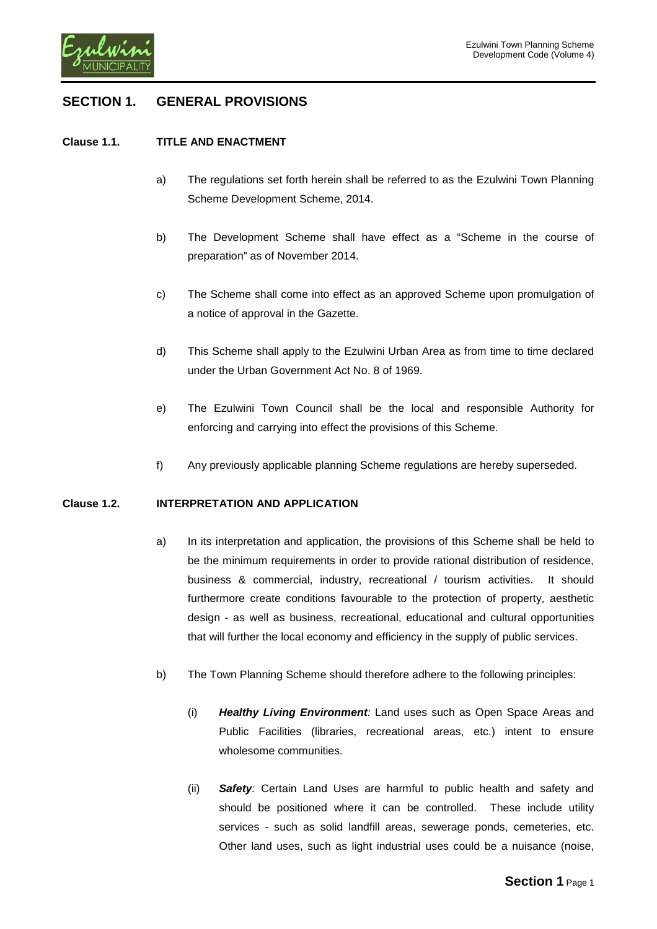

# **SECTION 1. GENERAL PROVISIONS**

### **Clause 1.1. TITLE AND ENACTMENT**

- a) The regulations set forth herein shall be referred to as the Ezulwini Town Planning Scheme Development Scheme, 2014.
- b) The Development Scheme shall have effect as a "Scheme in the course of preparation" as of November 2014.
- c) The Scheme shall come into effect as an approved Scheme upon promulgation of a notice of approval in the Gazette.
- d) This Scheme shall apply to the Ezulwini Urban Area as from time to time declared under the Urban Government Act No. 8 of 1969.
- e) The Ezulwini Town Council shall be the local and responsible Authority for enforcing and carrying into effect the provisions of this Scheme.
- f) Any previously applicable planning Scheme regulations are hereby superseded.

### **Clause 1.2. INTERPRETATION AND APPLICATION**

- a) In its interpretation and application, the provisions of this Scheme shall be held to be the minimum requirements in order to provide rational distribution of residence, business & commercial, industry, recreational / tourism activities. It should furthermore create conditions favourable to the protection of property, aesthetic design - as well as business, recreational, educational and cultural opportunities that will further the local economy and efficiency in the supply of public services.
- <span id="page-0-0"></span>b) The Town Planning Scheme should therefore adhere to the following principles:
	- (i) *Healthy Living Environment:* Land uses such as Open Space Areas and Public Facilities (libraries, recreational areas, etc.) intent to ensure wholesome communities.
	- (ii) *Safety:* Certain Land Uses are harmful to public health and safety and should be positioned where it can be controlled. These include utility services - such as solid landfill areas, sewerage ponds, cemeteries, etc. Other land uses, such as light industrial uses could be a nuisance (noise,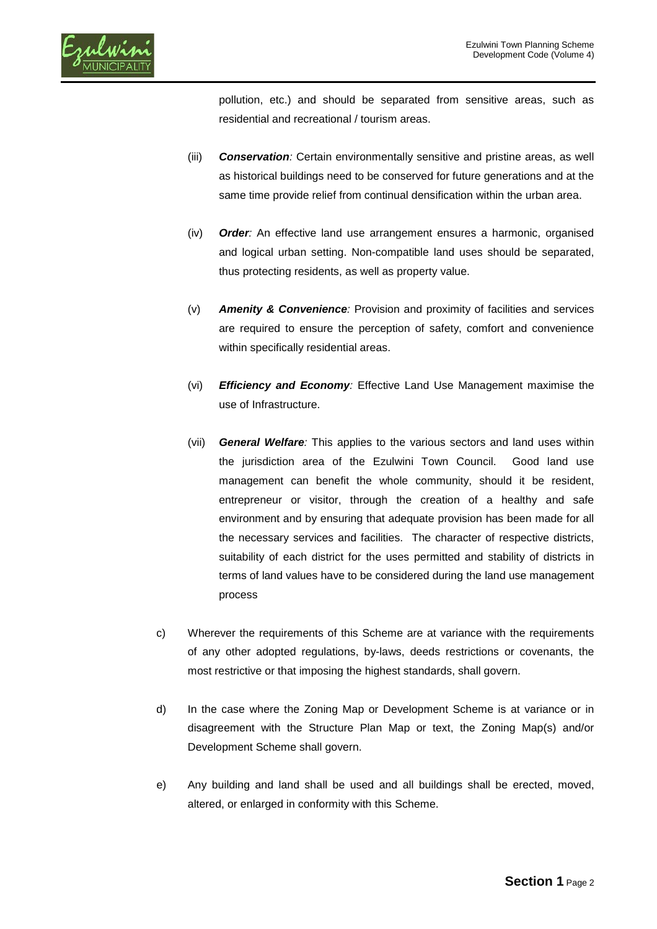

pollution, etc.) and should be separated from sensitive areas, such as residential and recreational / tourism areas.

- (iii) *Conservation:* Certain environmentally sensitive and pristine areas, as well as historical buildings need to be conserved for future generations and at the same time provide relief from continual densification within the urban area.
- (iv) *Order:* An effective land use arrangement ensures a harmonic, organised and logical urban setting. Non-compatible land uses should be separated, thus protecting residents, as well as property value.
- (v) *Amenity & Convenience:* Provision and proximity of facilities and services are required to ensure the perception of safety, comfort and convenience within specifically residential areas.
- (vi) *Efficiency and Economy:* Effective Land Use Management maximise the use of Infrastructure.
- (vii) *General Welfare:* This applies to the various sectors and land uses within the jurisdiction area of the Ezulwini Town Council. Good land use management can benefit the whole community, should it be resident, entrepreneur or visitor, through the creation of a healthy and safe environment and by ensuring that adequate provision has been made for all the necessary services and facilities. The character of respective districts, suitability of each district for the uses permitted and stability of districts in terms of land values have to be considered during the land use management process
- c) Wherever the requirements of this Scheme are at variance with the requirements of any other adopted regulations, by-laws, deeds restrictions or covenants, the most restrictive or that imposing the highest standards, shall govern.
- d) In the case where the Zoning Map or Development Scheme is at variance or in disagreement with the Structure Plan Map or text, the Zoning Map(s) and/or Development Scheme shall govern.
- e) Any building and land shall be used and all buildings shall be erected, moved, altered, or enlarged in conformity with this Scheme.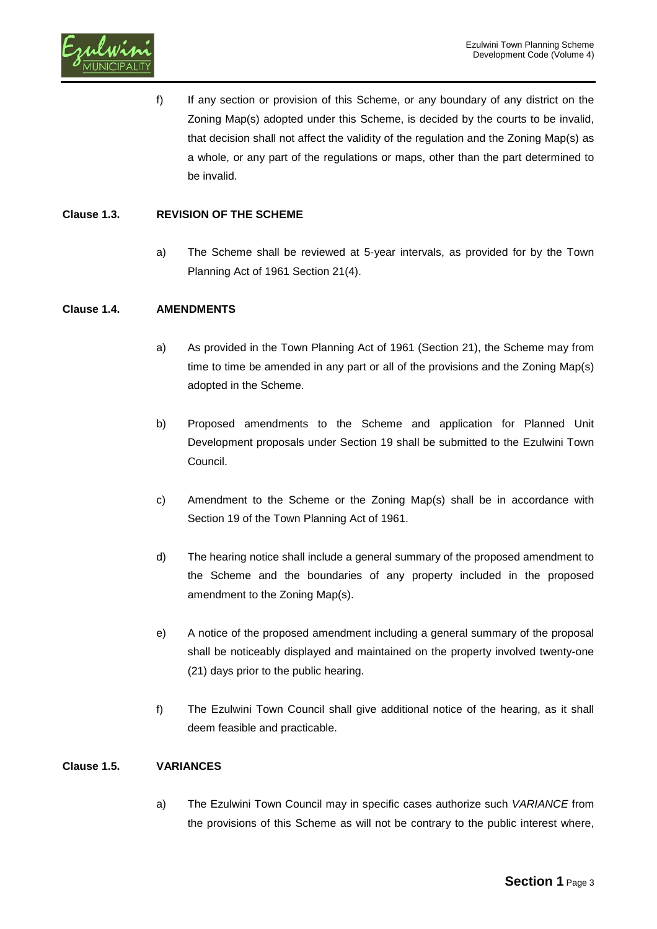f) If any section or provision of this Scheme, or any boundary of any district on the Zoning Map(s) adopted under this Scheme, is decided by the courts to be invalid, that decision shall not affect the validity of the regulation and the Zoning Map(s) as a whole, or any part of the regulations or maps, other than the part determined to be invalid.

# **Clause 1.3. REVISION OF THE SCHEME**

a) The Scheme shall be reviewed at 5-year intervals, as provided for by the Town Planning Act of 1961 Section 21(4).

# **Clause 1.4. AMENDMENTS**

- a) As provided in the Town Planning Act of 1961 (Section 21), the Scheme may from time to time be amended in any part or all of the provisions and the Zoning Map(s) adopted in the Scheme.
- b) Proposed amendments to the Scheme and application for Planned Unit Development proposals under Section 19 shall be submitted to the Ezulwini Town Council.
- c) Amendment to the Scheme or the Zoning Map(s) shall be in accordance with Section 19 of the Town Planning Act of 1961.
- d) The hearing notice shall include a general summary of the proposed amendment to the Scheme and the boundaries of any property included in the proposed amendment to the Zoning Map(s).
- e) A notice of the proposed amendment including a general summary of the proposal shall be noticeably displayed and maintained on the property involved twenty-one (21) days prior to the public hearing.
- f) The Ezulwini Town Council shall give additional notice of the hearing, as it shall deem feasible and practicable.

### **Clause 1.5. VARIANCES**

a) The Ezulwini Town Council may in specific cases authorize such *VARIANCE* from the provisions of this Scheme as will not be contrary to the public interest where,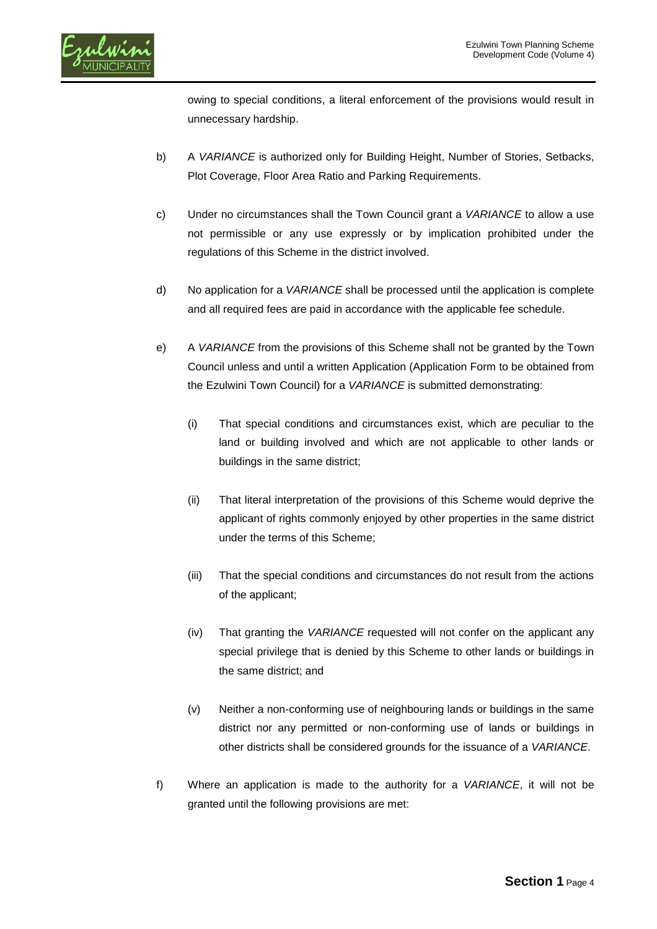owing to special conditions, a literal enforcement of the provisions would result in unnecessary hardship.

- b) A *VARIANCE* is authorized only for Building Height, Number of Stories, Setbacks, Plot Coverage, Floor Area Ratio and Parking Requirements.
- c) Under no circumstances shall the Town Council grant a *VARIANCE* to allow a use not permissible or any use expressly or by implication prohibited under the regulations of this Scheme in the district involved.
- d) No application for a *VARIANCE* shall be processed until the application is complete and all required fees are paid in accordance with the applicable fee schedule.
- e) A *VARIANCE* from the provisions of this Scheme shall not be granted by the Town Council unless and until a written Application (Application Form to be obtained from the Ezulwini Town Council) for a *VARIANCE* is submitted demonstrating:
	- (i) That special conditions and circumstances exist, which are peculiar to the land or building involved and which are not applicable to other lands or buildings in the same district;
	- (ii) That literal interpretation of the provisions of this Scheme would deprive the applicant of rights commonly enjoyed by other properties in the same district under the terms of this Scheme;
	- (iii) That the special conditions and circumstances do not result from the actions of the applicant;
	- (iv) That granting the *VARIANCE* requested will not confer on the applicant any special privilege that is denied by this Scheme to other lands or buildings in the same district; and
	- (v) Neither a non-conforming use of neighbouring lands or buildings in the same district nor any permitted or non-conforming use of lands or buildings in other districts shall be considered grounds for the issuance of a *VARIANCE*.
- f) Where an application is made to the authority for a *VARIANCE*, it will not be granted until the following provisions are met: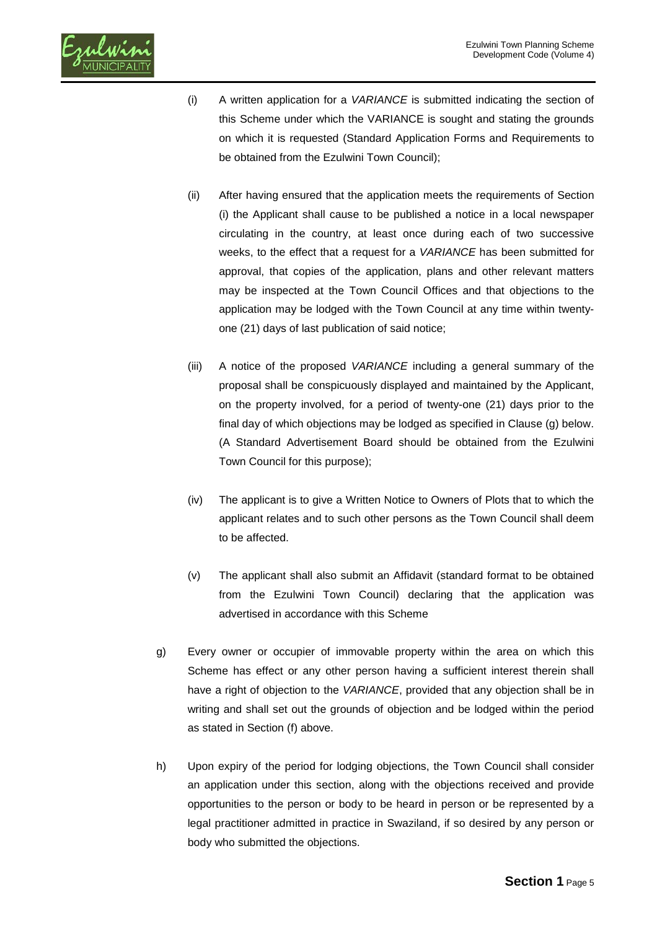

- (i) A written application for a *VARIANCE* is submitted indicating the section of this Scheme under which the VARIANCE is sought and stating the grounds on which it is requested (Standard Application Forms and Requirements to be obtained from the Ezulwini Town Council);
- (ii) After having ensured that the application meets the requirements of Section (i) the Applicant shall cause to be published a notice in a local newspaper circulating in the country, at least once during each of two successive weeks, to the effect that a request for a *VARIANCE* has been submitted for approval, that copies of the application, plans and other relevant matters may be inspected at the Town Council Offices and that objections to the application may be lodged with the Town Council at any time within twentyone (21) days of last publication of said notice;
- (iii) A notice of the proposed *VARIANCE* including a general summary of the proposal shall be conspicuously displayed and maintained by the Applicant, on the property involved, for a period of twenty-one (21) days prior to the final day of which objections may be lodged as specified in Clause (g) below. (A Standard Advertisement Board should be obtained from the Ezulwini Town Council for this purpose);
- (iv) The applicant is to give a Written Notice to Owners of Plots that to which the applicant relates and to such other persons as the Town Council shall deem to be affected.
- (v) The applicant shall also submit an Affidavit (standard format to be obtained from the Ezulwini Town Council) declaring that the application was advertised in accordance with this Scheme
- g) Every owner or occupier of immovable property within the area on which this Scheme has effect or any other person having a sufficient interest therein shall have a right of objection to the *VARIANCE*, provided that any objection shall be in writing and shall set out the grounds of objection and be lodged within the period as stated in Section (f) above.
- h) Upon expiry of the period for lodging objections, the Town Council shall consider an application under this section, along with the objections received and provide opportunities to the person or body to be heard in person or be represented by a legal practitioner admitted in practice in Swaziland, if so desired by any person or body who submitted the objections.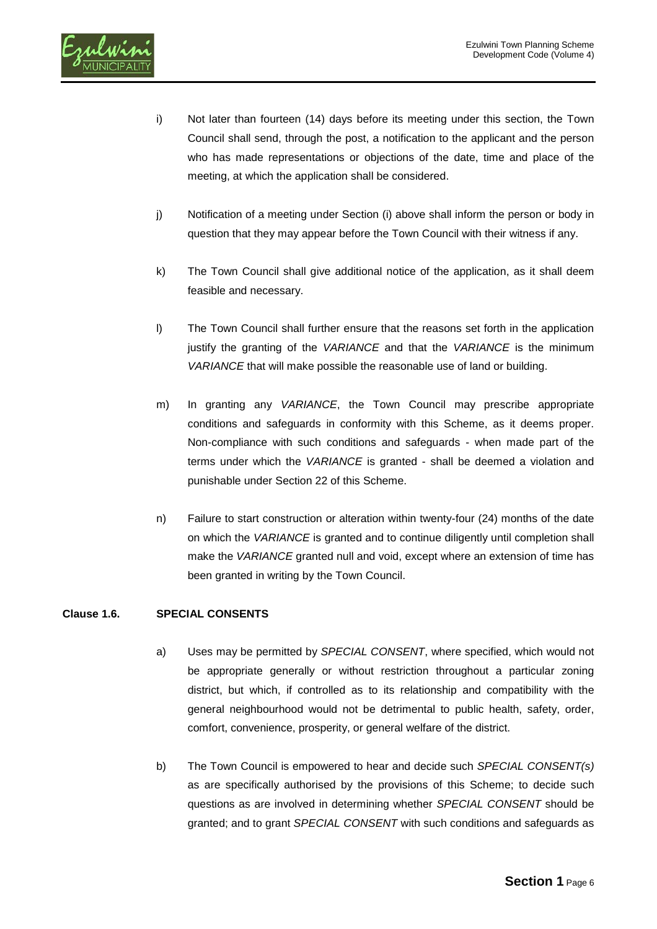

- i) Not later than fourteen (14) days before its meeting under this section, the Town Council shall send, through the post, a notification to the applicant and the person who has made representations or objections of the date, time and place of the meeting, at which the application shall be considered.
- j) Notification of a meeting under Section (i) above shall inform the person or body in question that they may appear before the Town Council with their witness if any.
- k) The Town Council shall give additional notice of the application, as it shall deem feasible and necessary.
- l) The Town Council shall further ensure that the reasons set forth in the application justify the granting of the *VARIANCE* and that the *VARIANCE* is the minimum *VARIANCE* that will make possible the reasonable use of land or building.
- m) In granting any *VARIANCE*, the Town Council may prescribe appropriate conditions and safeguards in conformity with this Scheme, as it deems proper. Non-compliance with such conditions and safeguards - when made part of the terms under which the *VARIANCE* is granted - shall be deemed a violation and punishable under Section 22 of this Scheme.
- n) Failure to start construction or alteration within twenty-four (24) months of the date on which the *VARIANCE* is granted and to continue diligently until completion shall make the *VARIANCE* granted null and void, except where an extension of time has been granted in writing by the Town Council.

# **Clause 1.6. SPECIAL CONSENTS**

- a) Uses may be permitted by *SPECIAL CONSENT*, where specified, which would not be appropriate generally or without restriction throughout a particular zoning district, but which, if controlled as to its relationship and compatibility with the general neighbourhood would not be detrimental to public health, safety, order, comfort, convenience, prosperity, or general welfare of the district.
- b) The Town Council is empowered to hear and decide such *SPECIAL CONSENT(s)* as are specifically authorised by the provisions of this Scheme; to decide such questions as are involved in determining whether *SPECIAL CONSENT* should be granted; and to grant *SPECIAL CONSENT* with such conditions and safeguards as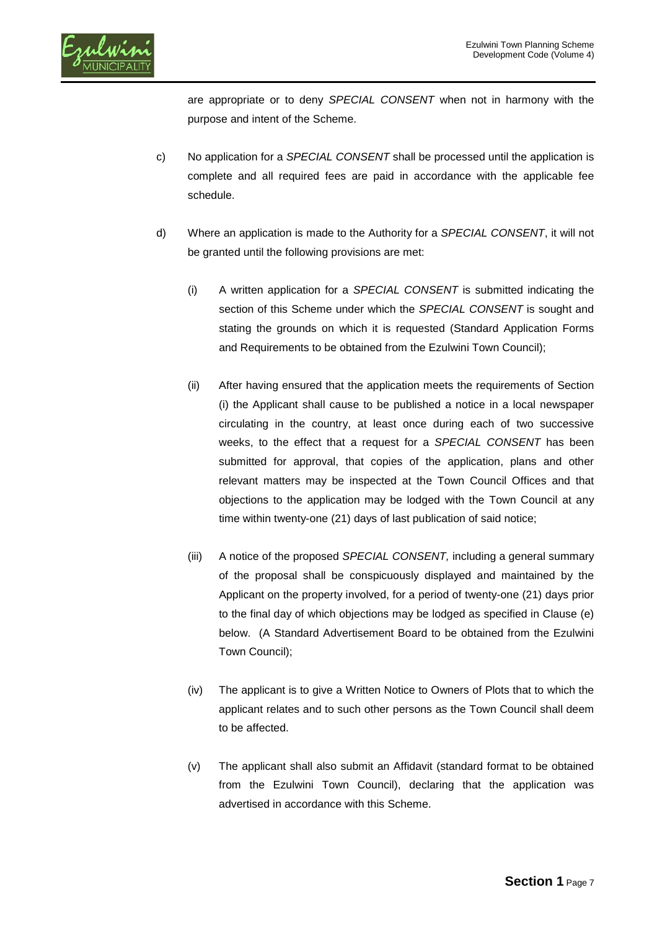

are appropriate or to deny *SPECIAL CONSENT* when not in harmony with the purpose and intent of the Scheme.

- c) No application for a *SPECIAL CONSENT* shall be processed until the application is complete and all required fees are paid in accordance with the applicable fee schedule.
- d) Where an application is made to the Authority for a *SPECIAL CONSENT*, it will not be granted until the following provisions are met:
	- (i) A written application for a *SPECIAL CONSENT* is submitted indicating the section of this Scheme under which the *SPECIAL CONSENT* is sought and stating the grounds on which it is requested (Standard Application Forms and Requirements to be obtained from the Ezulwini Town Council);
	- (ii) After having ensured that the application meets the requirements of Section (i) the Applicant shall cause to be published a notice in a local newspaper circulating in the country, at least once during each of two successive weeks, to the effect that a request for a *SPECIAL CONSENT* has been submitted for approval, that copies of the application, plans and other relevant matters may be inspected at the Town Council Offices and that objections to the application may be lodged with the Town Council at any time within twenty-one (21) days of last publication of said notice;
	- (iii) A notice of the proposed *SPECIAL CONSENT,* including a general summary of the proposal shall be conspicuously displayed and maintained by the Applicant on the property involved, for a period of twenty-one (21) days prior to the final day of which objections may be lodged as specified in Clause (e) below. (A Standard Advertisement Board to be obtained from the Ezulwini Town Council);
	- (iv) The applicant is to give a Written Notice to Owners of Plots that to which the applicant relates and to such other persons as the Town Council shall deem to be affected.
	- (v) The applicant shall also submit an Affidavit (standard format to be obtained from the Ezulwini Town Council), declaring that the application was advertised in accordance with this Scheme.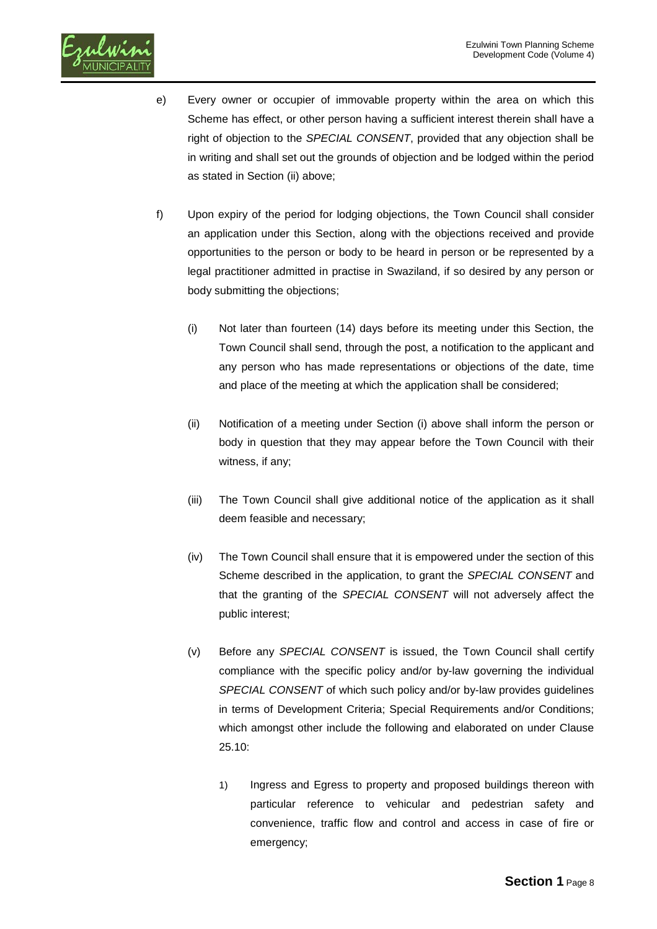

- e) Every owner or occupier of immovable property within the area on which this Scheme has effect, or other person having a sufficient interest therein shall have a right of objection to the *SPECIAL CONSENT*, provided that any objection shall be in writing and shall set out the grounds of objection and be lodged within the period as stated in Section (ii) above;
- f) Upon expiry of the period for lodging objections, the Town Council shall consider an application under this Section, along with the objections received and provide opportunities to the person or body to be heard in person or be represented by a legal practitioner admitted in practise in Swaziland, if so desired by any person or body submitting the objections;
	- (i) Not later than fourteen (14) days before its meeting under this Section, the Town Council shall send, through the post, a notification to the applicant and any person who has made representations or objections of the date, time and place of the meeting at which the application shall be considered;
	- (ii) Notification of a meeting under Section (i) above shall inform the person or body in question that they may appear before the Town Council with their witness, if any;
	- (iii) The Town Council shall give additional notice of the application as it shall deem feasible and necessary;
	- (iv) The Town Council shall ensure that it is empowered under the section of this Scheme described in the application, to grant the *SPECIAL CONSENT* and that the granting of the *SPECIAL CONSENT* will not adversely affect the public interest;
	- (v) Before any *SPECIAL CONSENT* is issued, the Town Council shall certify compliance with the specific policy and/or by-law governing the individual *SPECIAL CONSENT* of which such policy and/or by-law provides guidelines in terms of Development Criteria; Special Requirements and/or Conditions; which amongst other include the following and elaborated on under Clause 25.10:
		- 1) Ingress and Egress to property and proposed buildings thereon with particular reference to vehicular and pedestrian safety and convenience, traffic flow and control and access in case of fire or emergency;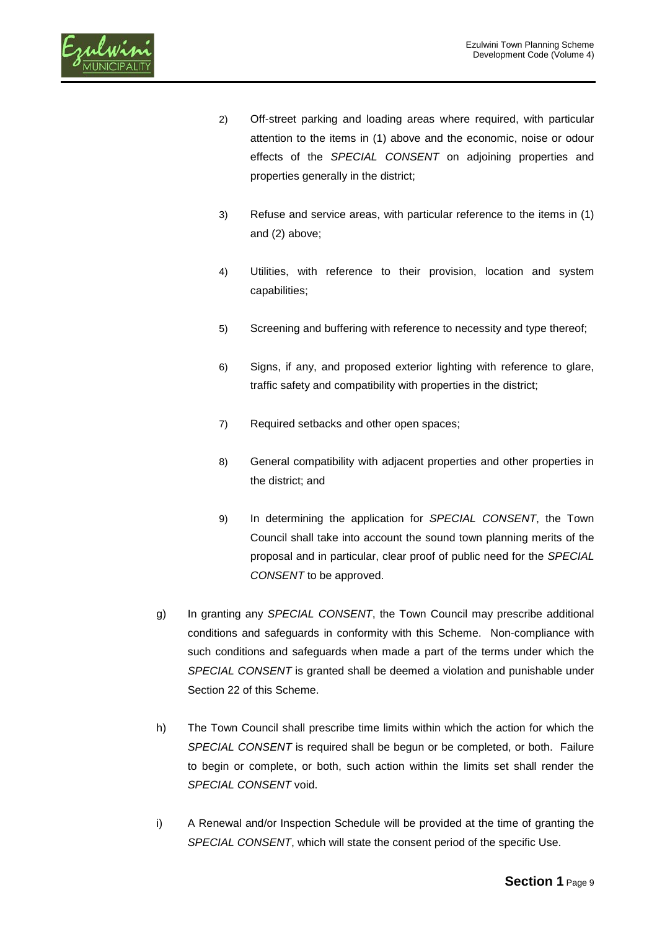

- 2) Off-street parking and loading areas where required, with particular attention to the items in (1) above and the economic, noise or odour effects of the *SPECIAL CONSENT* on adjoining properties and properties generally in the district;
- 3) Refuse and service areas, with particular reference to the items in (1) and (2) above;
- 4) Utilities, with reference to their provision, location and system capabilities;
- 5) Screening and buffering with reference to necessity and type thereof;
- 6) Signs, if any, and proposed exterior lighting with reference to glare, traffic safety and compatibility with properties in the district;
- 7) Required setbacks and other open spaces;
- 8) General compatibility with adjacent properties and other properties in the district; and
- 9) In determining the application for *SPECIAL CONSENT*, the Town Council shall take into account the sound town planning merits of the proposal and in particular, clear proof of public need for the *SPECIAL CONSENT* to be approved.
- g) In granting any *SPECIAL CONSENT*, the Town Council may prescribe additional conditions and safeguards in conformity with this Scheme. Non-compliance with such conditions and safeguards when made a part of the terms under which the *SPECIAL CONSENT* is granted shall be deemed a violation and punishable under Section 22 of this Scheme.
- h) The Town Council shall prescribe time limits within which the action for which the *SPECIAL CONSENT* is required shall be begun or be completed, or both. Failure to begin or complete, or both, such action within the limits set shall render the *SPECIAL CONSENT* void.
- i) A Renewal and/or Inspection Schedule will be provided at the time of granting the *SPECIAL CONSENT*, which will state the consent period of the specific Use.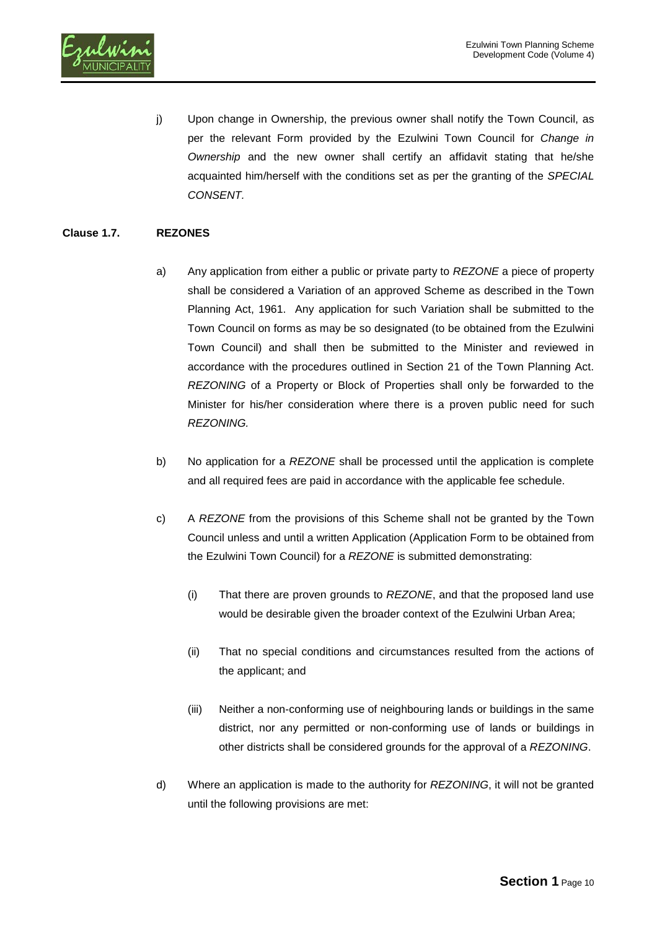

j) Upon change in Ownership, the previous owner shall notify the Town Council, as per the relevant Form provided by the Ezulwini Town Council for *Change in Ownership* and the new owner shall certify an affidavit stating that he/she acquainted him/herself with the conditions set as per the granting of the *SPECIAL CONSENT.*

# **Clause 1.7. REZONES**

- a) Any application from either a public or private party to *REZONE* a piece of property shall be considered a Variation of an approved Scheme as described in the Town Planning Act, 1961. Any application for such Variation shall be submitted to the Town Council on forms as may be so designated (to be obtained from the Ezulwini Town Council) and shall then be submitted to the Minister and reviewed in accordance with the procedures outlined in Section 21 of the Town Planning Act. *REZONING* of a Property or Block of Properties shall only be forwarded to the Minister for his/her consideration where there is a proven public need for such *REZONING.*
- b) No application for a *REZONE* shall be processed until the application is complete and all required fees are paid in accordance with the applicable fee schedule.
- c) A *REZONE* from the provisions of this Scheme shall not be granted by the Town Council unless and until a written Application (Application Form to be obtained from the Ezulwini Town Council) for a *REZONE* is submitted demonstrating:
	- (i) That there are proven grounds to *REZONE*, and that the proposed land use would be desirable given the broader context of the Ezulwini Urban Area;
	- (ii) That no special conditions and circumstances resulted from the actions of the applicant; and
	- (iii) Neither a non-conforming use of neighbouring lands or buildings in the same district, nor any permitted or non-conforming use of lands or buildings in other districts shall be considered grounds for the approval of a *REZONING*.
- d) Where an application is made to the authority for *REZONING*, it will not be granted until the following provisions are met: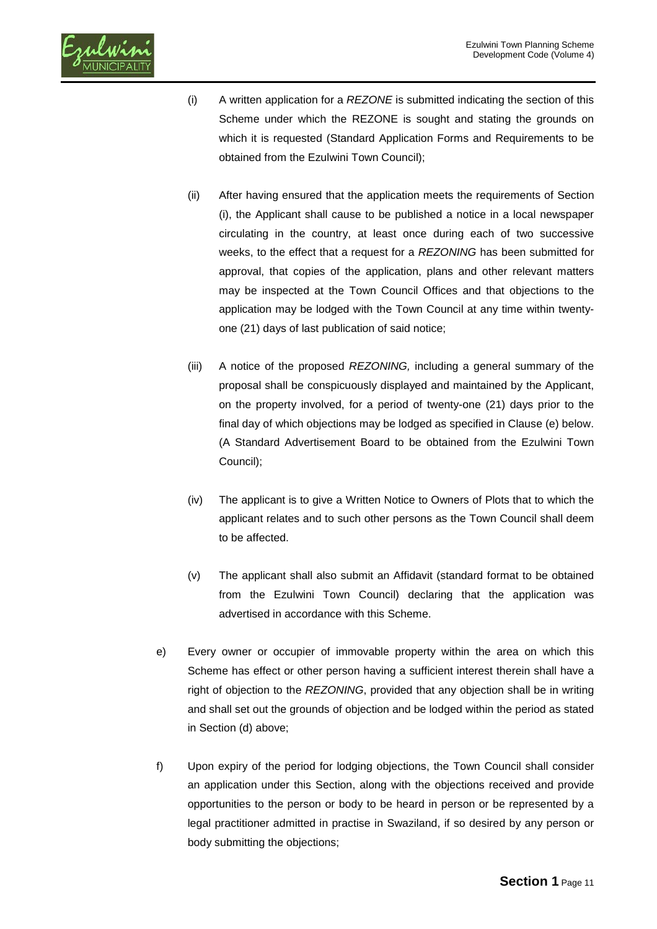

- (i) A written application for a *REZONE* is submitted indicating the section of this Scheme under which the REZONE is sought and stating the grounds on which it is requested (Standard Application Forms and Requirements to be obtained from the Ezulwini Town Council);
- (ii) After having ensured that the application meets the requirements of Section (i), the Applicant shall cause to be published a notice in a local newspaper circulating in the country, at least once during each of two successive weeks, to the effect that a request for a *REZONING* has been submitted for approval, that copies of the application, plans and other relevant matters may be inspected at the Town Council Offices and that objections to the application may be lodged with the Town Council at any time within twentyone (21) days of last publication of said notice;
- (iii) A notice of the proposed *REZONING,* including a general summary of the proposal shall be conspicuously displayed and maintained by the Applicant, on the property involved, for a period of twenty-one (21) days prior to the final day of which objections may be lodged as specified in Clause (e) below. (A Standard Advertisement Board to be obtained from the Ezulwini Town Council);
- (iv) The applicant is to give a Written Notice to Owners of Plots that to which the applicant relates and to such other persons as the Town Council shall deem to be affected.
- (v) The applicant shall also submit an Affidavit (standard format to be obtained from the Ezulwini Town Council) declaring that the application was advertised in accordance with this Scheme.
- e) Every owner or occupier of immovable property within the area on which this Scheme has effect or other person having a sufficient interest therein shall have a right of objection to the *REZONING*, provided that any objection shall be in writing and shall set out the grounds of objection and be lodged within the period as stated in Section (d) above;
- f) Upon expiry of the period for lodging objections, the Town Council shall consider an application under this Section, along with the objections received and provide opportunities to the person or body to be heard in person or be represented by a legal practitioner admitted in practise in Swaziland, if so desired by any person or body submitting the objections;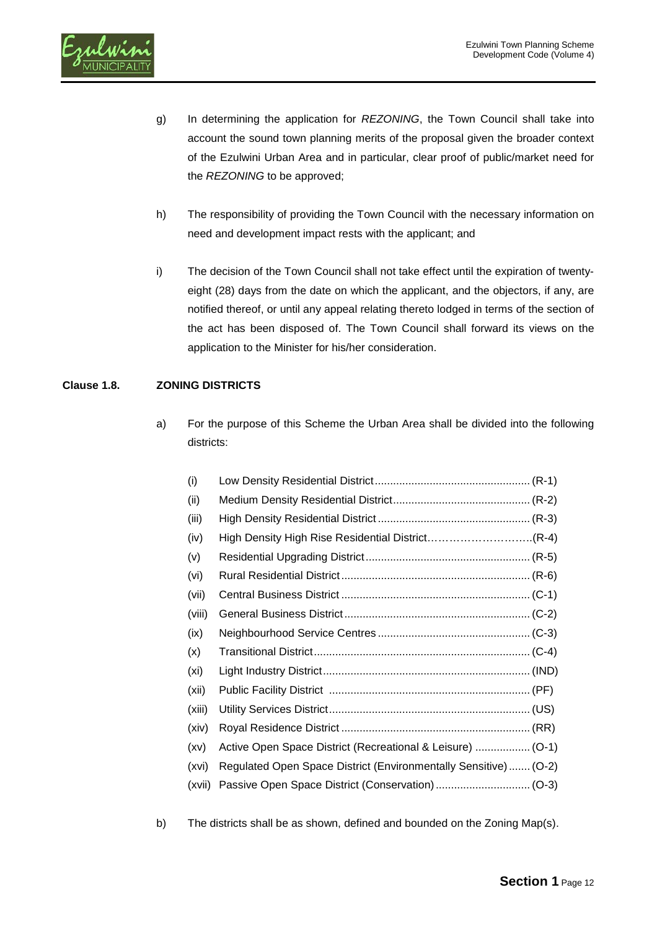

- g) In determining the application for *REZONING*, the Town Council shall take into account the sound town planning merits of the proposal given the broader context of the Ezulwini Urban Area and in particular, clear proof of public/market need for the *REZONING* to be approved;
- h) The responsibility of providing the Town Council with the necessary information on need and development impact rests with the applicant; and
- i) The decision of the Town Council shall not take effect until the expiration of twentyeight (28) days from the date on which the applicant, and the objectors, if any, are notified thereof, or until any appeal relating thereto lodged in terms of the section of the act has been disposed of. The Town Council shall forward its views on the application to the Minister for his/her consideration.

# **Clause 1.8. ZONING DISTRICTS**

a) For the purpose of this Scheme the Urban Area shall be divided into the following districts:

| (i)    |                                                                  |
|--------|------------------------------------------------------------------|
| (ii)   |                                                                  |
| (iii)  |                                                                  |
| (iv)   |                                                                  |
| (v)    |                                                                  |
| (vi)   |                                                                  |
| (vii)  |                                                                  |
| (viii) |                                                                  |
| (ix)   |                                                                  |
| (x)    |                                                                  |
| (xi)   |                                                                  |
| (xii)  |                                                                  |
| (xiii) |                                                                  |
| (xiv)  |                                                                  |
| (xv)   |                                                                  |
| (xvi)  | Regulated Open Space District (Environmentally Sensitive)  (O-2) |
| (xvii) |                                                                  |
|        |                                                                  |

b) The districts shall be as shown, defined and bounded on the Zoning Map(s).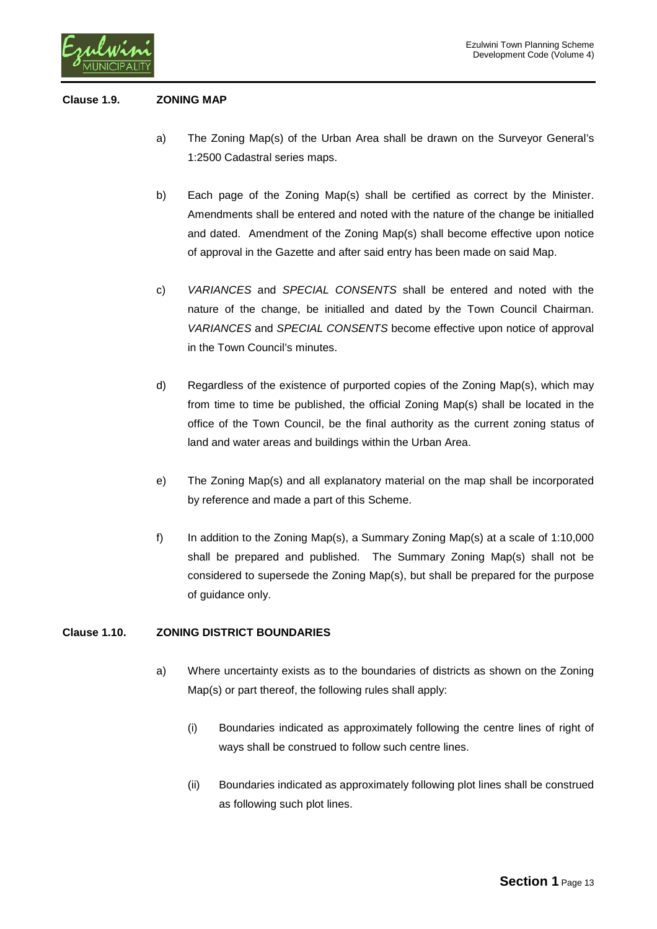

### **Clause 1.9. ZONING MAP**

- a) The Zoning Map(s) of the Urban Area shall be drawn on the Surveyor General's 1:2500 Cadastral series maps.
- b) Each page of the Zoning Map(s) shall be certified as correct by the Minister. Amendments shall be entered and noted with the nature of the change be initialled and dated. Amendment of the Zoning Map(s) shall become effective upon notice of approval in the Gazette and after said entry has been made on said Map.
- c) *VARIANCES* and *SPECIAL CONSENTS* shall be entered and noted with the nature of the change, be initialled and dated by the Town Council Chairman. *VARIANCES* and *SPECIAL CONSENTS* become effective upon notice of approval in the Town Council's minutes.
- d) Regardless of the existence of purported copies of the Zoning Map(s), which may from time to time be published, the official Zoning Map(s) shall be located in the office of the Town Council, be the final authority as the current zoning status of land and water areas and buildings within the Urban Area.
- e) The Zoning Map(s) and all explanatory material on the map shall be incorporated by reference and made a part of this Scheme.
- f) In addition to the Zoning Map(s), a Summary Zoning Map(s) at a scale of 1:10,000 shall be prepared and published. The Summary Zoning Map(s) shall not be considered to supersede the Zoning Map(s), but shall be prepared for the purpose of guidance only.

### **Clause 1.10. ZONING DISTRICT BOUNDARIES**

- a) Where uncertainty exists as to the boundaries of districts as shown on the Zoning Map(s) or part thereof, the following rules shall apply:
	- (i) Boundaries indicated as approximately following the centre lines of right of ways shall be construed to follow such centre lines.
	- (ii) Boundaries indicated as approximately following plot lines shall be construed as following such plot lines.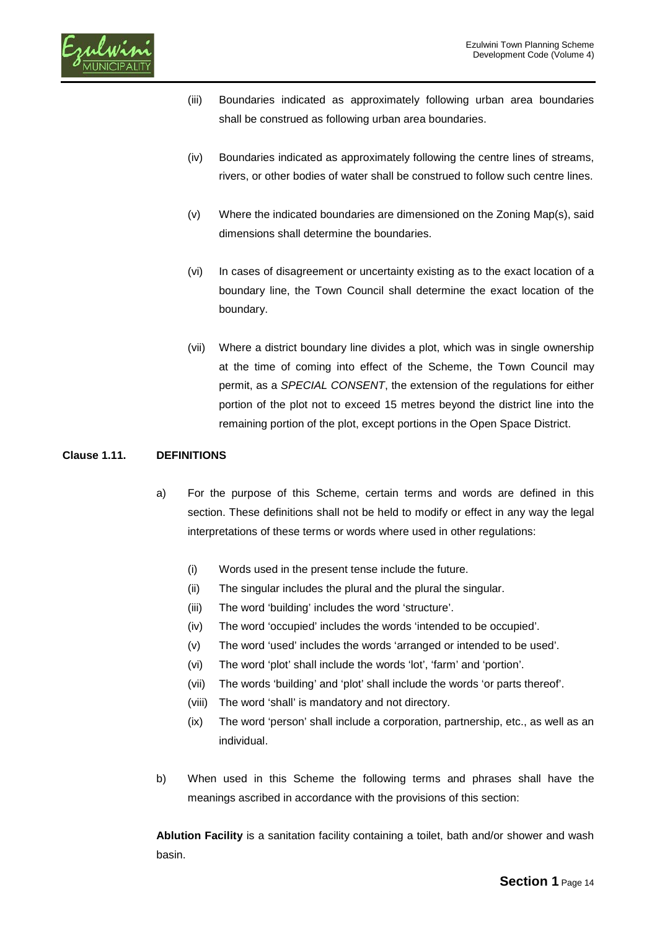

- (iii) Boundaries indicated as approximately following urban area boundaries shall be construed as following urban area boundaries.
- (iv) Boundaries indicated as approximately following the centre lines of streams, rivers, or other bodies of water shall be construed to follow such centre lines.
- (v) Where the indicated boundaries are dimensioned on the Zoning Map(s), said dimensions shall determine the boundaries.
- (vi) In cases of disagreement or uncertainty existing as to the exact location of a boundary line, the Town Council shall determine the exact location of the boundary.
- (vii) Where a district boundary line divides a plot, which was in single ownership at the time of coming into effect of the Scheme, the Town Council may permit, as a *SPECIAL CONSENT*, the extension of the regulations for either portion of the plot not to exceed 15 metres beyond the district line into the remaining portion of the plot, except portions in the Open Space District.

### **Clause 1.11. DEFINITIONS**

- a) For the purpose of this Scheme, certain terms and words are defined in this section. These definitions shall not be held to modify or effect in any way the legal interpretations of these terms or words where used in other regulations:
	- (i) Words used in the present tense include the future.
	- (ii) The singular includes the plural and the plural the singular.
	- (iii) The word 'building' includes the word 'structure'.
	- (iv) The word 'occupied' includes the words 'intended to be occupied'.
	- (v) The word 'used' includes the words 'arranged or intended to be used'.
	- (vi) The word 'plot' shall include the words 'lot', 'farm' and 'portion'.
	- (vii) The words 'building' and 'plot' shall include the words 'or parts thereof'.
	- (viii) The word 'shall' is mandatory and not directory.
	- (ix) The word 'person' shall include a corporation, partnership, etc., as well as an individual.
- b) When used in this Scheme the following terms and phrases shall have the meanings ascribed in accordance with the provisions of this section:

**Ablution Facility** is a sanitation facility containing a toilet, bath and/or shower and wash basin.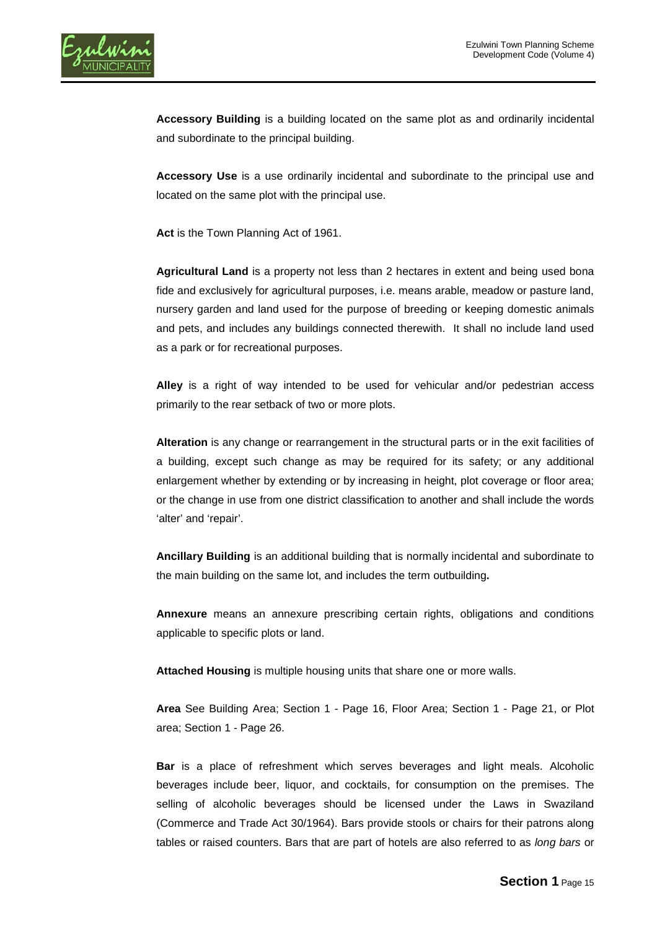

**Accessory Building** is a building located on the same plot as and ordinarily incidental and subordinate to the principal building.

**Accessory Use** is a use ordinarily incidental and subordinate to the principal use and located on the same plot with the principal use.

**Act** is the Town Planning Act of 1961.

**Agricultural Land** is a property not less than 2 hectares in extent and being used bona fide and exclusively for agricultural purposes, i.e. means arable, meadow or pasture land, nursery garden and land used for the purpose of breeding or keeping domestic animals and pets, and includes any buildings connected therewith. It shall no include land used as a park or for recreational purposes.

**Alley** is a right of way intended to be used for vehicular and/or pedestrian access primarily to the rear setback of two or more plots.

**Alteration** is any change or rearrangement in the structural parts or in the exit facilities of a building, except such change as may be required for its safety; or any additional enlargement whether by extending or by increasing in height, plot coverage or floor area; or the change in use from one district classification to another and shall include the words 'alter' and 'repair'.

**Ancillary Building** is an additional building that is normally incidental and subordinate to the main building on the same lot, and includes the term outbuilding**.**

**Annexure** means an annexure prescribing certain rights, obligations and conditions applicable to specific plots or land.

**Attached Housing** is multiple housing units that share one or more walls.

**Area** See Building Area; Section 1 - Page 16, Floor Area; Section 1 - Page 21, or Plot area; Section 1 - Page 26.

**Bar** is a place of refreshment which serves beverages and light meals. Alcoholic beverages include beer, liquor, and [cocktails,](http://en.wikipedia.org/wiki/Cocktail) for consumption on the premises. The selling of alcoholic beverages should be licensed under the Laws in Swaziland (Commerce and Trade Act 30/1964). Bars provide [stools](http://en.wikipedia.org/wiki/Bar_stool) or chairs for their patrons along tables or raised counters. Bars that are part of [hotels](http://en.wikipedia.org/wiki/Hotels) are also referred to as *long bars* or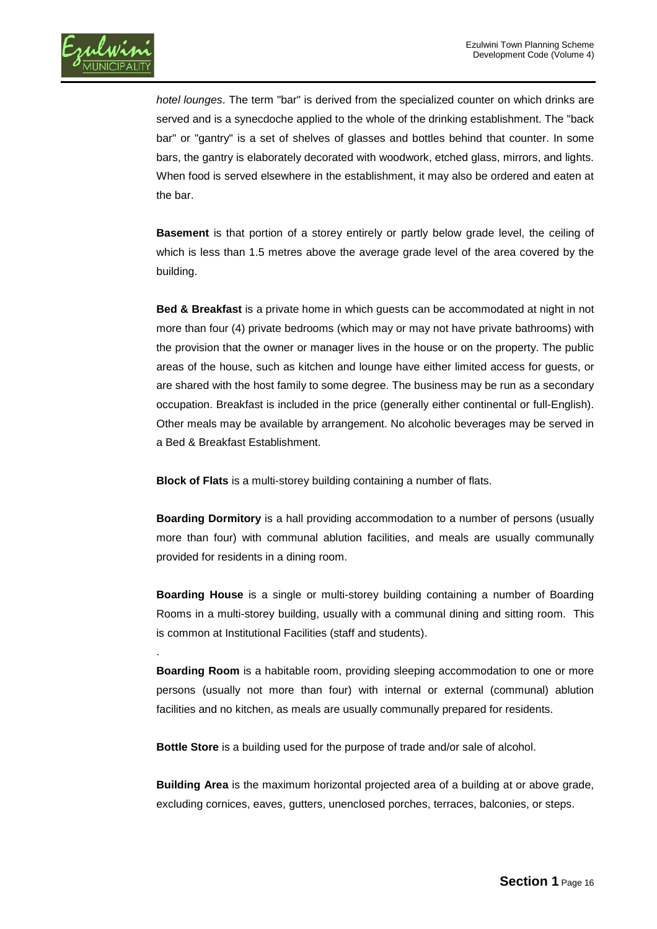

.

*hotel lounges*. The term "bar" is derived from the [specialized counter](http://en.wikipedia.org/wiki/Bar_(counter)) on which drinks are served and is a [synecdoche](http://en.wikipedia.org/wiki/Synecdoche) applied to the whole of the drinking establishment. The "back bar" or "gantry" is a set of shelves of glasses and bottles behind that counter. In some bars, the gantry is elaborately decorated with woodwork, etched glass, mirrors, and lights. When food is served elsewhere in the establishment, it may also be ordered and eaten at the bar.

**Basement** is that portion of a storey entirely or partly below grade level, the ceiling of which is less than 1.5 metres above the average grade level of the area covered by the building.

**Bed & Breakfast** is a private home in which guests can be accommodated at night in not more than four (4) private bedrooms (which may or may not have private bathrooms) with the provision that the owner or manager lives in the house or on the property. The public areas of the house, such as kitchen and lounge have either limited access for guests, or are shared with the host family to some degree. The business may be run as a secondary occupation. Breakfast is included in the price (generally either continental or full-English). Other meals may be available by arrangement. No alcoholic beverages may be served in a Bed & Breakfast Establishment.

**Block of Flats** is a multi-storey building containing a number of flats.

**Boarding Dormitory** is a hall providing accommodation to a number of persons (usually more than four) with communal ablution facilities, and meals are usually communally provided for residents in a dining room.

**Boarding House** is a single or multi-storey building containing a number of Boarding Rooms in a multi-storey building, usually with a communal dining and sitting room. This is common at Institutional Facilities (staff and students).

**Boarding Room** is a habitable room, providing sleeping accommodation to one or more persons (usually not more than four) with internal or external (communal) ablution facilities and no kitchen, as meals are usually communally prepared for residents.

**Bottle Store** is a building used for the purpose of trade and/or sale of alcohol.

**Building Area** is the maximum horizontal projected area of a building at or above grade, excluding cornices, eaves, gutters, unenclosed porches, terraces, balconies, or steps.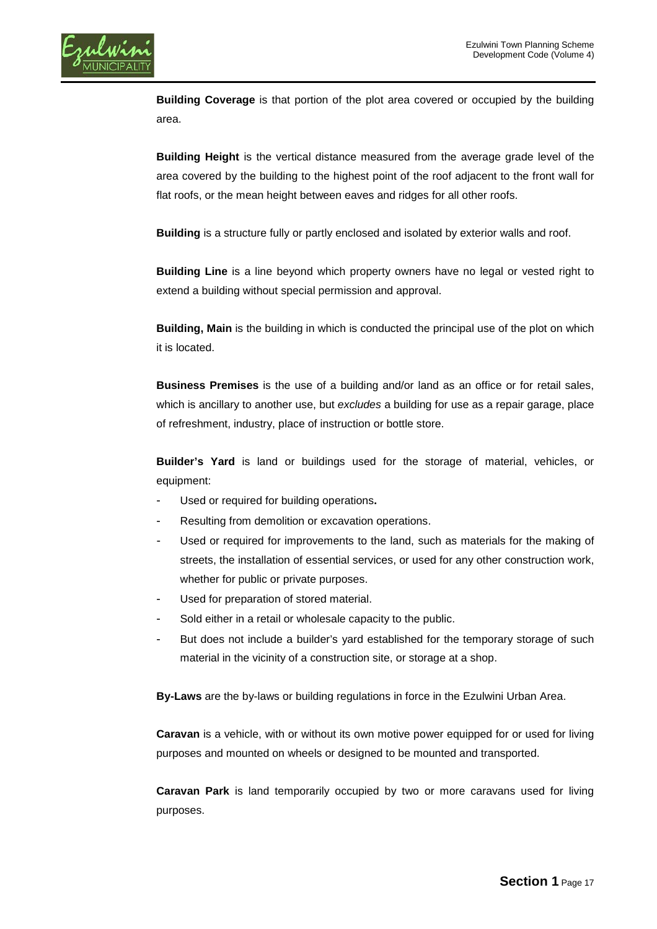

**Building Coverage** is that portion of the plot area covered or occupied by the building area.

**Building Height** is the vertical distance measured from the average grade level of the area covered by the building to the highest point of the roof adjacent to the front wall for flat roofs, or the mean height between eaves and ridges for all other roofs.

**Building** is a structure fully or partly enclosed and isolated by exterior walls and roof.

**Building Line** is a line beyond which property owners have no legal or vested right to extend a building without special permission and approval.

**Building, Main** is the building in which is conducted the principal use of the plot on which it is located.

**Business Premises** is the use of a building and/or land as an office or for retail sales, which is ancillary to another use, but *excludes* a building for use as a repair garage, place of refreshment, industry, place of instruction or bottle store.

**Builder's Yard** is land or buildings used for the storage of material, vehicles, or equipment:

- Used or required for building operations**.**
- Resulting from demolition or excavation operations.
- Used or required for improvements to the land, such as materials for the making of streets, the installation of essential services, or used for any other construction work, whether for public or private purposes.
- Used for preparation of stored material.
- Sold either in a retail or wholesale capacity to the public.
- But does not include a builder's yard established for the temporary storage of such material in the vicinity of a construction site, or storage at a shop.

**By-Laws** are the by-laws or building regulations in force in the Ezulwini Urban Area.

**Caravan** is a vehicle, with or without its own motive power equipped for or used for living purposes and mounted on wheels or designed to be mounted and transported.

**Caravan Park** is land temporarily occupied by two or more caravans used for living purposes.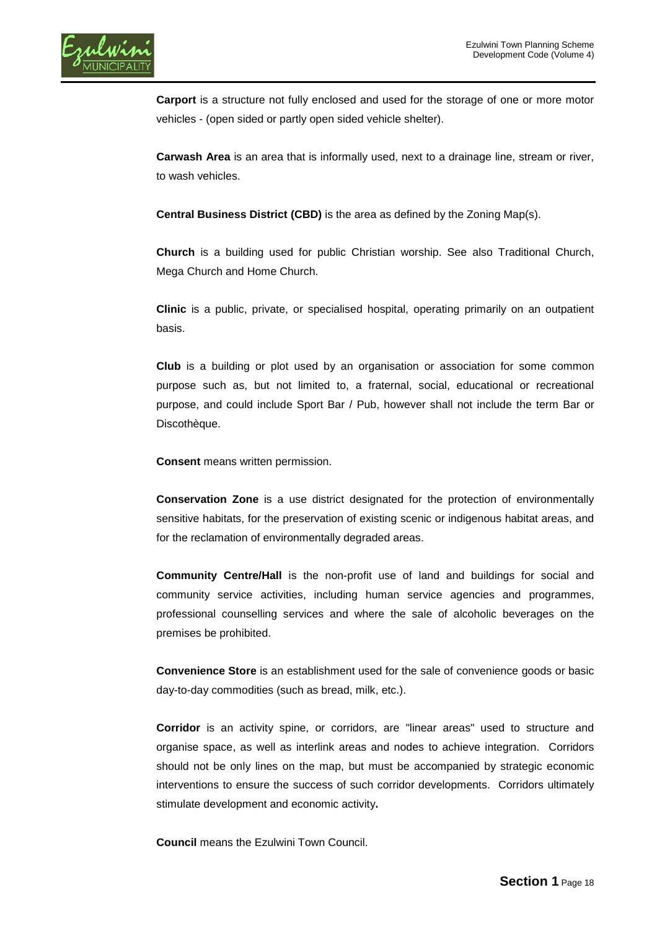

**Carport** is a structure not fully enclosed and used for the storage of one or more motor vehicles - (open sided or partly open sided vehicle shelter).

**Carwash Area** is an area that is informally used, next to a drainage line, stream or river, to wash vehicles.

**Central Business District (CBD)** is the area as defined by the Zoning Map(s).

**Church** is a building used for public Christian worship. See also Traditional Church, Mega Church and Home Church.

**Clinic** is a public, private, or specialised hospital, operating primarily on an outpatient basis.

**Club** is a building or plot used by an organisation or association for some common purpose such as, but not limited to, a fraternal, social, educational or recreational purpose, and could include Sport Bar / Pub, however shall not include the term Bar or Discothèque.

**Consent** means written permission.

**Conservation Zone** is a use district designated for the protection of environmentally sensitive habitats, for the preservation of existing scenic or indigenous habitat areas, and for the reclamation of environmentally degraded areas.

**Community Centre/Hall** is the non-profit use of land and buildings for social and community service activities, including human service agencies and programmes, professional counselling services and where the sale of alcoholic beverages on the premises be prohibited.

**Convenience Store** is an establishment used for the sale of convenience goods or basic day-to-day commodities (such as bread, milk, etc.).

**Corridor** is an activity spine, or corridors, are "linear areas" used to structure and organise space, as well as interlink areas and nodes to achieve integration. Corridors should not be only lines on the map, but must be accompanied by strategic economic interventions to ensure the success of such corridor developments. Corridors ultimately stimulate development and economic activity**.**

**Council** means the Ezulwini Town Council.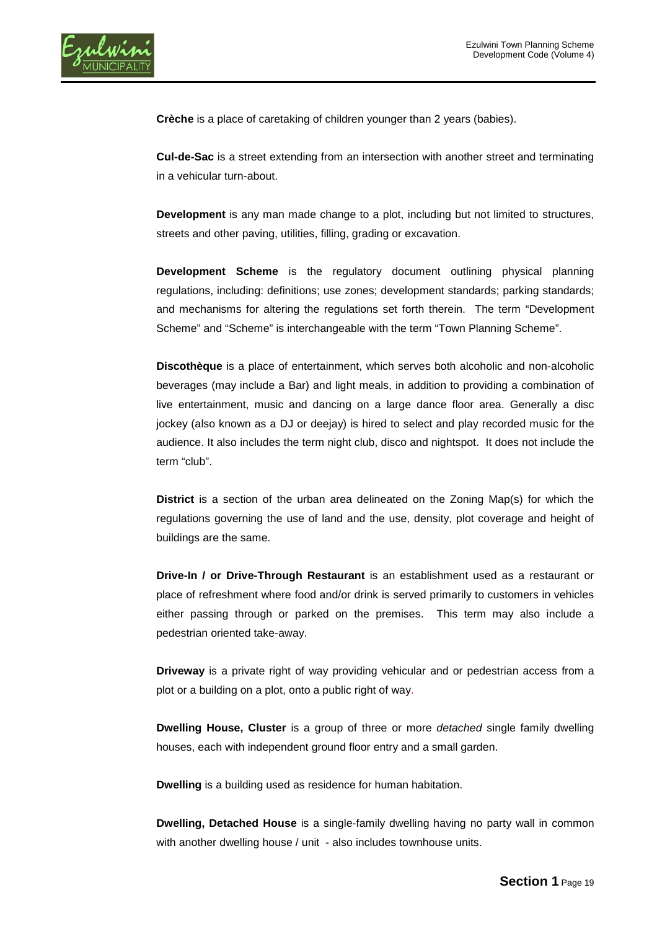

**Crèche** is a place of caretaking of children younger than 2 years (babies).

**Cul-de-Sac** is a street extending from an intersection with another street and terminating in a vehicular turn-about.

**Development** is any man made change to a plot, including but not limited to structures, streets and other paving, utilities, filling, grading or excavation.

**Development Scheme** is the regulatory document outlining physical planning regulations, including: definitions; use zones; development standards; parking standards; and mechanisms for altering the regulations set forth therein. The term "Development Scheme" and "Scheme" is interchangeable with the term "Town Planning Scheme".

**Discothèque** is a place of entertainment, which serves both alcoholic and non-alcoholic beverages (may include a Bar) and light meals, in addition to providing a combination of live entertainment, music and dancing on a large dance floor area. Generally a disc jockey (also known as a DJ or deejay) is hired to select and play [recorded music](http://en.wikipedia.org/wiki/Sound_recording) for the audience. It also includes the term night club, disco and nightspot. It does not include the term "club".

**District** is a section of the urban area delineated on the Zoning Map(s) for which the regulations governing the use of land and the use, density, plot coverage and height of buildings are the same.

**Drive-In / or Drive-Through Restaurant** is an establishment used as a restaurant or place of refreshment where food and/or drink is served primarily to customers in vehicles either passing through or parked on the premises. This term may also include a pedestrian oriented take-away.

**Driveway** is a private right of way providing vehicular and or pedestrian access from a plot or a building on a plot, onto a public right of way.

**Dwelling House, Cluster** is a group of three or more *detached* single family dwelling houses, each with independent ground floor entry and a small garden.

**Dwelling** is a building used as residence for human habitation.

**Dwelling, Detached House** is a single-family dwelling having no party wall in common with another dwelling house / unit - also includes townhouse units.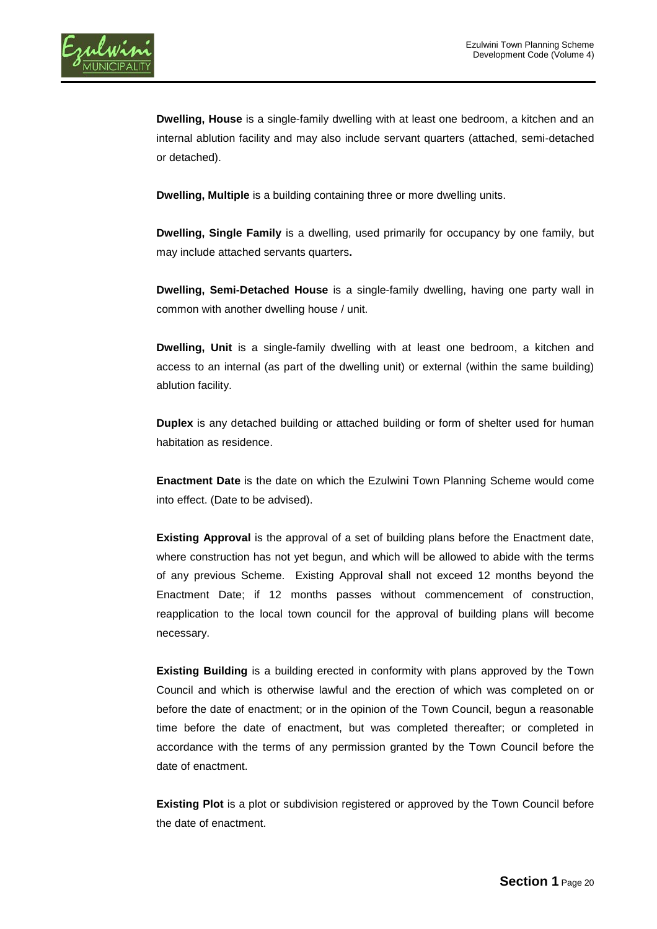**Dwelling, House** is a single-family dwelling with at least one bedroom, a kitchen and an internal ablution facility and may also include servant quarters (attached, semi-detached or detached).

**Dwelling, Multiple** is a building containing three or more dwelling units.

**Dwelling, Single Family** is a dwelling, used primarily for occupancy by one family, but may include attached servants quarters**.**

**Dwelling, Semi-Detached House** is a single-family dwelling, having one party wall in common with another dwelling house / unit.

**Dwelling, Unit** is a single-family dwelling with at least one bedroom, a kitchen and access to an internal (as part of the dwelling unit) or external (within the same building) ablution facility.

**Duplex** is any detached building or attached building or form of shelter used for human habitation as residence.

**Enactment Date** is the date on which the Ezulwini Town Planning Scheme would come into effect. (Date to be advised).

**Existing Approval** is the approval of a set of building plans before the Enactment date, where construction has not yet begun, and which will be allowed to abide with the terms of any previous Scheme. Existing Approval shall not exceed 12 months beyond the Enactment Date; if 12 months passes without commencement of construction, reapplication to the local town council for the approval of building plans will become necessary.

**Existing Building** is a building erected in conformity with plans approved by the Town Council and which is otherwise lawful and the erection of which was completed on or before the date of enactment; or in the opinion of the Town Council, begun a reasonable time before the date of enactment, but was completed thereafter; or completed in accordance with the terms of any permission granted by the Town Council before the date of enactment.

**Existing Plot** is a plot or subdivision registered or approved by the Town Council before the date of enactment.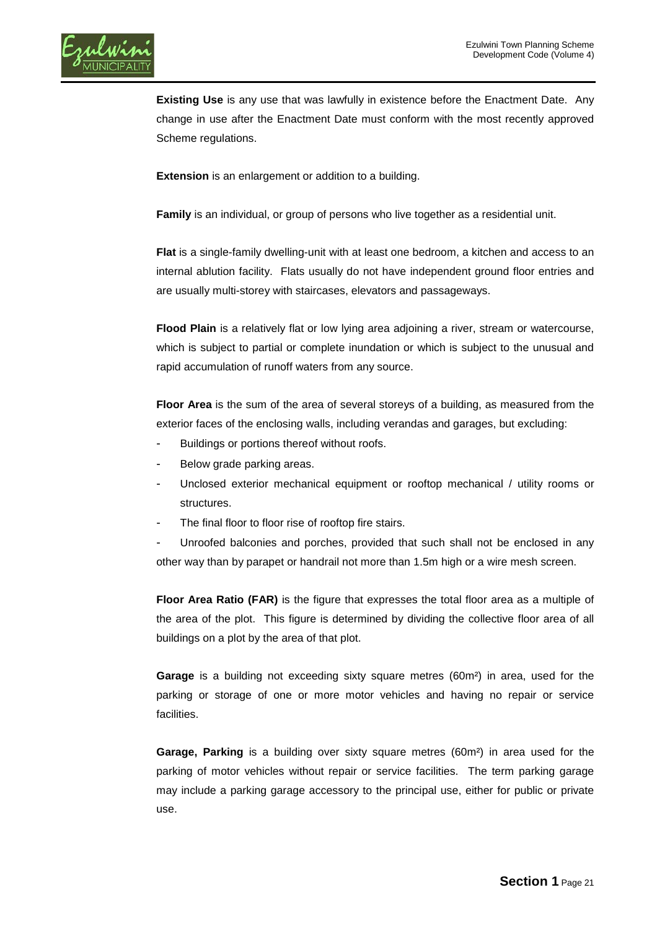

**Existing Use** is any use that was lawfully in existence before the Enactment Date. Any change in use after the Enactment Date must conform with the most recently approved Scheme regulations.

**Extension** is an enlargement or addition to a building.

**Family** is an individual, or group of persons who live together as a residential unit.

**Flat** is a single-family dwelling-unit with at least one bedroom, a kitchen and access to an internal ablution facility. Flats usually do not have independent ground floor entries and are usually multi-storey with staircases, elevators and passageways.

**Flood Plain** is a relatively flat or low lying area adjoining a river, stream or watercourse, which is subject to partial or complete inundation or which is subject to the unusual and rapid accumulation of runoff waters from any source.

**Floor Area** is the sum of the area of several storeys of a building, as measured from the exterior faces of the enclosing walls, including verandas and garages, but excluding:

- Buildings or portions thereof without roofs.
- Below grade parking areas.
- Unclosed exterior mechanical equipment or rooftop mechanical / utility rooms or structures.
- The final floor to floor rise of rooftop fire stairs.

Unroofed balconies and porches, provided that such shall not be enclosed in any other way than by parapet or handrail not more than 1.5m high or a wire mesh screen.

**Floor Area Ratio (FAR)** is the figure that expresses the total floor area as a multiple of the area of the plot. This figure is determined by dividing the collective floor area of all buildings on a plot by the area of that plot.

**Garage** is a building not exceeding sixty square metres (60m²) in area, used for the parking or storage of one or more motor vehicles and having no repair or service facilities.

**Garage, Parking** is a building over sixty square metres (60m²) in area used for the parking of motor vehicles without repair or service facilities. The term parking garage may include a parking garage accessory to the principal use, either for public or private use.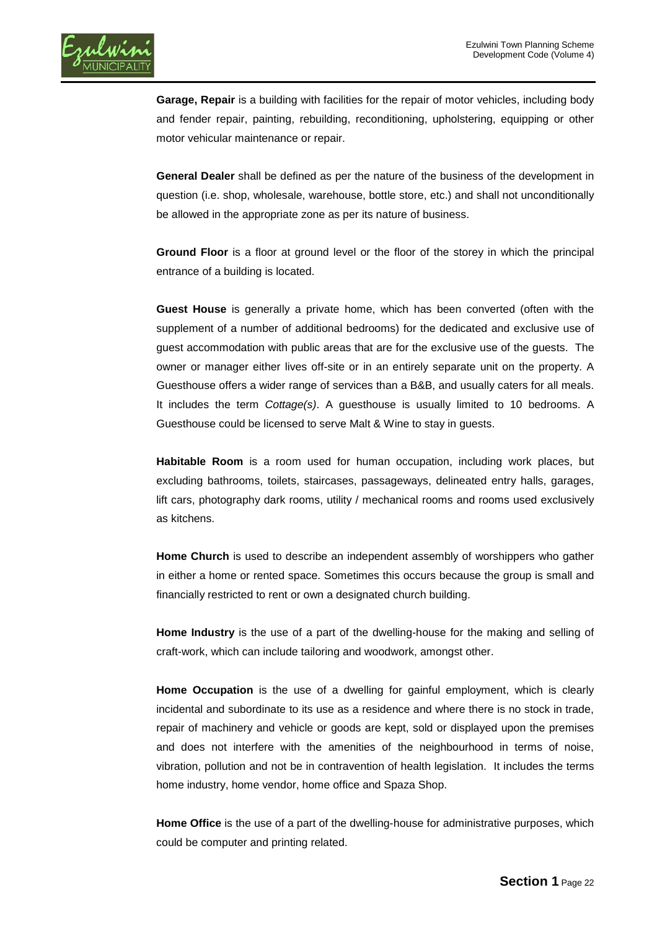

**Garage, Repair** is a building with facilities for the repair of motor vehicles, including body and fender repair, painting, rebuilding, reconditioning, upholstering, equipping or other motor vehicular maintenance or repair.

**General Dealer** shall be defined as per the nature of the business of the development in question (i.e. shop, wholesale, warehouse, bottle store, etc.) and shall not unconditionally be allowed in the appropriate zone as per its nature of business.

**Ground Floor** is a floor at ground level or the floor of the storey in which the principal entrance of a building is located.

**Guest House** is generally a private home, which has been converted (often with the supplement of a number of additional bedrooms) for the dedicated and exclusive use of guest accommodation with public areas that are for the exclusive use of the guests. The owner or manager either lives off-site or in an entirely separate unit on the property. A Guesthouse offers a wider range of services than a B&B, and usually caters for all meals. It includes the term *Cottage(s)*. A guesthouse is usually limited to 10 bedrooms. A Guesthouse could be licensed to serve Malt & Wine to stay in guests.

**Habitable Room** is a room used for human occupation, including work places, but excluding bathrooms, toilets, staircases, passageways, delineated entry halls, garages, lift cars, photography dark rooms, utility / mechanical rooms and rooms used exclusively as kitchens.

**Home Church** is used to describe an independent assembly of worshippers who gather in either a home or rented space. Sometimes this occurs because the group is small and financially restricted to rent or own a designated church building.

**Home Industry** is the use of a part of the dwelling-house for the making and selling of craft-work, which can include tailoring and woodwork, amongst other.

**Home Occupation** is the use of a dwelling for gainful employment, which is clearly incidental and subordinate to its use as a residence and where there is no stock in trade, repair of machinery and vehicle or goods are kept, sold or displayed upon the premises and does not interfere with the amenities of the neighbourhood in terms of noise, vibration, pollution and not be in contravention of health legislation. It includes the terms home industry, home vendor, home office and Spaza Shop.

**Home Office** is the use of a part of the dwelling-house for administrative purposes, which could be computer and printing related.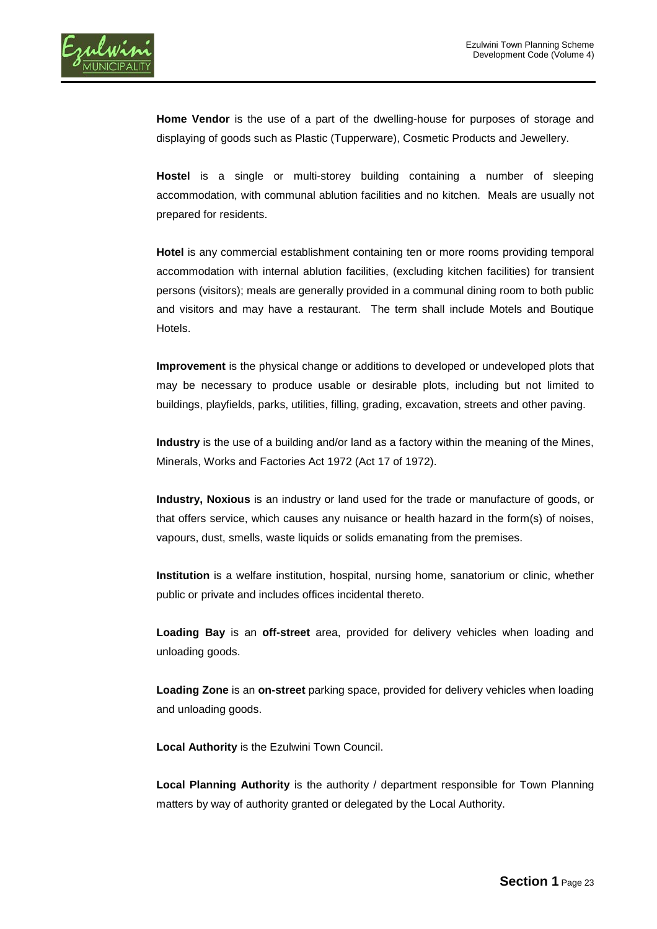

**Home Vendor** is the use of a part of the dwelling-house for purposes of storage and displaying of goods such as Plastic (Tupperware), Cosmetic Products and Jewellery.

**Hostel** is a single or multi-storey building containing a number of sleeping accommodation, with communal ablution facilities and no kitchen. Meals are usually not prepared for residents.

**Hotel** is any commercial establishment containing ten or more rooms providing temporal accommodation with internal ablution facilities, (excluding kitchen facilities) for transient persons (visitors); meals are generally provided in a communal dining room to both public and visitors and may have a restaurant. The term shall include Motels and Boutique Hotels.

**Improvement** is the physical change or additions to developed or undeveloped plots that may be necessary to produce usable or desirable plots, including but not limited to buildings, playfields, parks, utilities, filling, grading, excavation, streets and other paving.

**Industry** is the use of a building and/or land as a factory within the meaning of the Mines, Minerals, Works and Factories Act 1972 (Act 17 of 1972).

**Industry, Noxious** is an industry or land used for the trade or manufacture of goods, or that offers service, which causes any nuisance or health hazard in the form(s) of noises, vapours, dust, smells, waste liquids or solids emanating from the premises.

**Institution** is a welfare institution, hospital, nursing home, sanatorium or clinic, whether public or private and includes offices incidental thereto.

**Loading Bay** is an **off-street** area, provided for delivery vehicles when loading and unloading goods.

**Loading Zone** is an **on-street** parking space, provided for delivery vehicles when loading and unloading goods.

**Local Authority** is the Ezulwini Town Council.

**Local Planning Authority** is the authority / department responsible for Town Planning matters by way of authority granted or delegated by the Local Authority.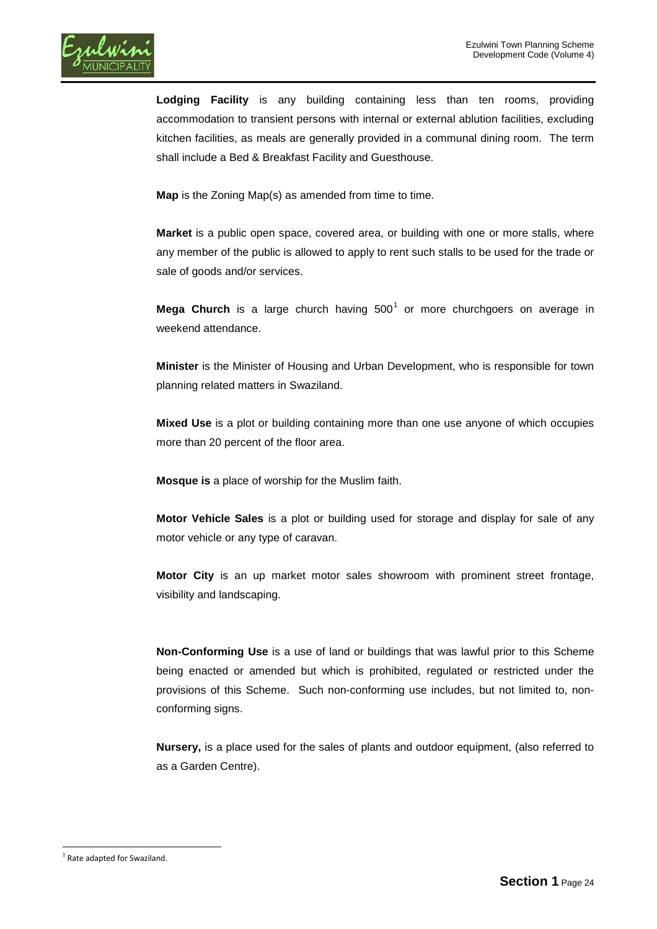

**Lodging Facility** is any building containing less than ten rooms, providing accommodation to transient persons with internal or external ablution facilities, excluding kitchen facilities, as meals are generally provided in a communal dining room. The term shall include a Bed & Breakfast Facility and Guesthouse.

**Map** is the Zoning Map(s) as amended from time to time.

**Market** is a public open space, covered area, or building with one or more stalls, where any member of the public is allowed to apply to rent such stalls to be used for the trade or sale of goods and/or services.

**Mega Church** is a large church having 500<sup>[1](#page-0-0)</sup> or more churchgoers on average in weekend attendance.

**Minister** is the Minister of Housing and Urban Development, who is responsible for town planning related matters in Swaziland.

**Mixed Use** is a plot or building containing more than one use anyone of which occupies more than 20 percent of the floor area.

**Mosque is** a place of worship for the Muslim faith.

**Motor Vehicle Sales** is a plot or building used for storage and display for sale of any motor vehicle or any type of caravan.

**Motor City** is an up market motor sales showroom with prominent street frontage, visibility and landscaping.

**Non-Conforming Use** is a use of land or buildings that was lawful prior to this Scheme being enacted or amended but which is prohibited, regulated or restricted under the provisions of this Scheme. Such non-conforming use includes, but not limited to, nonconforming signs.

**Nursery,** is a place used for the sales of plants and outdoor equipment, (also referred to as a Garden Centre).

 $1$  Rate adapted for Swaziland.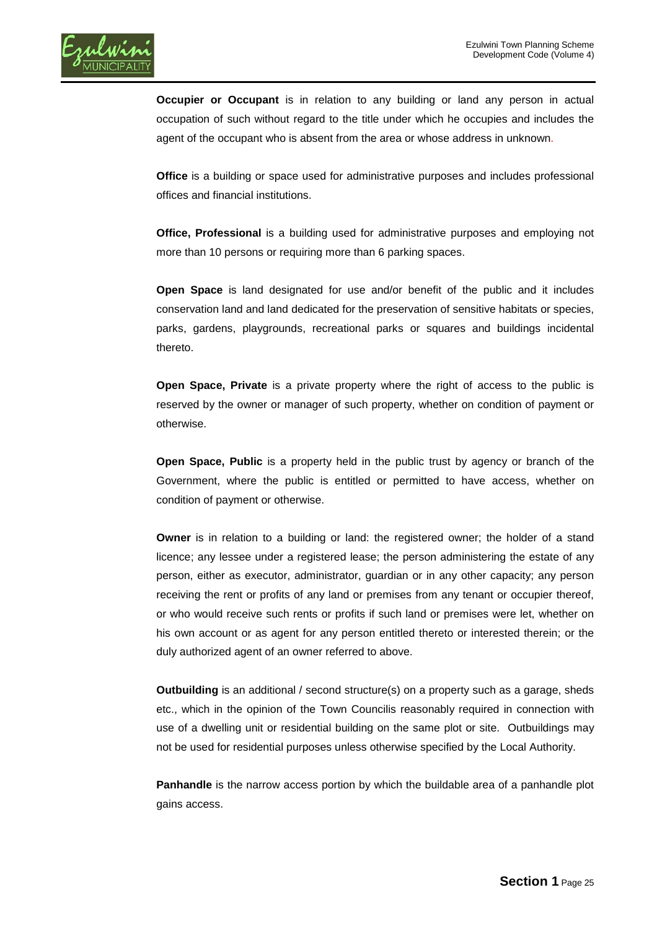

**Occupier or Occupant** is in relation to any building or land any person in actual occupation of such without regard to the title under which he occupies and includes the agent of the occupant who is absent from the area or whose address in unknown.

**Office** is a building or space used for administrative purposes and includes professional offices and financial institutions.

**Office, Professional** is a building used for administrative purposes and employing not more than 10 persons or requiring more than 6 parking spaces.

**Open Space** is land designated for use and/or benefit of the public and it includes conservation land and land dedicated for the preservation of sensitive habitats or species, parks, gardens, playgrounds, recreational parks or squares and buildings incidental thereto.

**Open Space, Private** is a private property where the right of access to the public is reserved by the owner or manager of such property, whether on condition of payment or otherwise.

**Open Space, Public** is a property held in the public trust by agency or branch of the Government, where the public is entitled or permitted to have access, whether on condition of payment or otherwise.

**Owner** is in relation to a building or land: the registered owner; the holder of a stand licence; any lessee under a registered lease; the person administering the estate of any person, either as executor, administrator, guardian or in any other capacity; any person receiving the rent or profits of any land or premises from any tenant or occupier thereof, or who would receive such rents or profits if such land or premises were let, whether on his own account or as agent for any person entitled thereto or interested therein; or the duly authorized agent of an owner referred to above.

**Outbuilding** is an additional / second structure(s) on a property such as a garage, sheds etc., which in the opinion of the Town Councilis reasonably required in connection with use of a dwelling unit or residential building on the same plot or site. Outbuildings may not be used for residential purposes unless otherwise specified by the Local Authority.

**Panhandle** is the narrow access portion by which the buildable area of a panhandle plot gains access.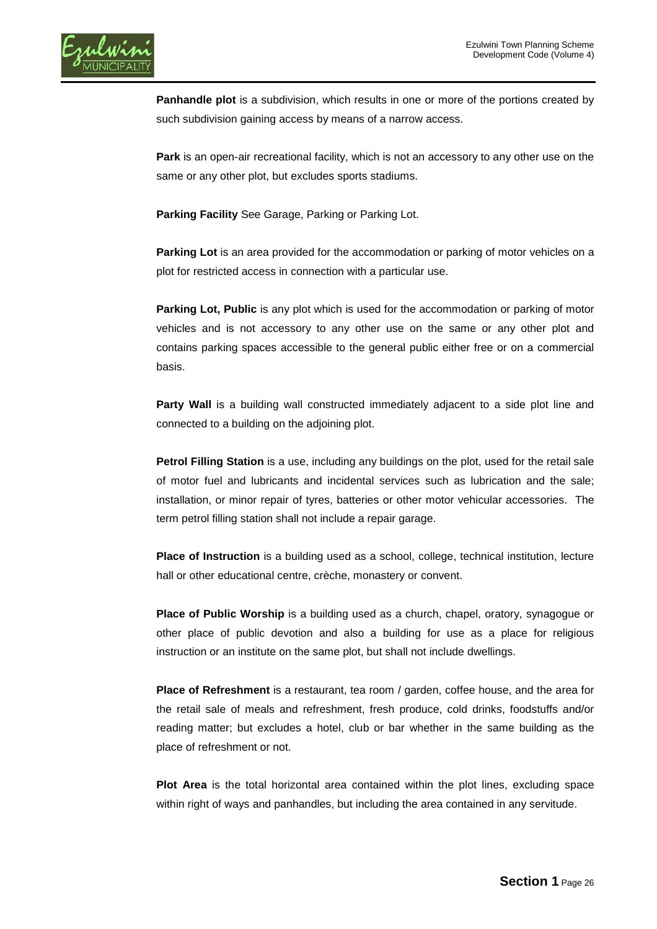

**Panhandle plot** is a subdivision, which results in one or more of the portions created by such subdivision gaining access by means of a narrow access.

**Park** is an open-air recreational facility, which is not an accessory to any other use on the same or any other plot, but excludes sports stadiums.

Parking Facility See Garage, Parking or Parking Lot.

**Parking Lot** is an area provided for the accommodation or parking of motor vehicles on a plot for restricted access in connection with a particular use.

**Parking Lot, Public** is any plot which is used for the accommodation or parking of motor vehicles and is not accessory to any other use on the same or any other plot and contains parking spaces accessible to the general public either free or on a commercial basis.

**Party Wall** is a building wall constructed immediately adjacent to a side plot line and connected to a building on the adjoining plot.

**Petrol Filling Station** is a use, including any buildings on the plot, used for the retail sale of motor fuel and lubricants and incidental services such as lubrication and the sale; installation, or minor repair of tyres, batteries or other motor vehicular accessories. The term petrol filling station shall not include a repair garage.

**Place of Instruction** is a building used as a school, college, technical institution, lecture hall or other educational centre, crèche, monastery or convent.

**Place of Public Worship** is a building used as a church, chapel, oratory, synagogue or other place of public devotion and also a building for use as a place for religious instruction or an institute on the same plot, but shall not include dwellings.

**Place of Refreshment** is a restaurant, tea room / garden, coffee house, and the area for the retail sale of meals and refreshment, fresh produce, cold drinks, foodstuffs and/or reading matter; but excludes a hotel, club or bar whether in the same building as the place of refreshment or not.

**Plot Area** is the total horizontal area contained within the plot lines, excluding space within right of ways and panhandles, but including the area contained in any servitude.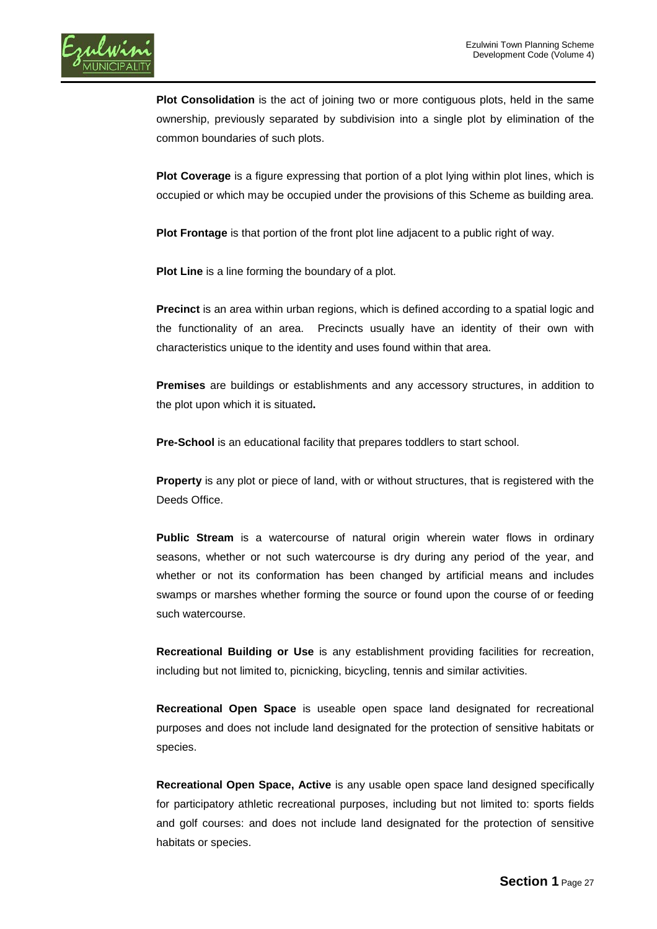

**Plot Consolidation** is the act of joining two or more contiguous plots, held in the same ownership, previously separated by subdivision into a single plot by elimination of the common boundaries of such plots.

**Plot Coverage** is a figure expressing that portion of a plot lying within plot lines, which is occupied or which may be occupied under the provisions of this Scheme as building area.

**Plot Frontage** is that portion of the front plot line adjacent to a public right of way.

**Plot Line** is a line forming the boundary of a plot.

**Precinct** is an area within urban regions, which is defined according to a spatial logic and the functionality of an area. Precincts usually have an identity of their own with characteristics unique to the identity and uses found within that area.

**Premises** are buildings or establishments and any accessory structures, in addition to the plot upon which it is situated**.**

**Pre-School** is an educational facility that prepares toddlers to start school.

**Property** is any plot or piece of land, with or without structures, that is registered with the Deeds Office.

**Public Stream** is a watercourse of natural origin wherein water flows in ordinary seasons, whether or not such watercourse is dry during any period of the year, and whether or not its conformation has been changed by artificial means and includes swamps or marshes whether forming the source or found upon the course of or feeding such watercourse.

**Recreational Building or Use** is any establishment providing facilities for recreation, including but not limited to, picnicking, bicycling, tennis and similar activities.

**Recreational Open Space** is useable open space land designated for recreational purposes and does not include land designated for the protection of sensitive habitats or species.

**Recreational Open Space, Active** is any usable open space land designed specifically for participatory athletic recreational purposes, including but not limited to: sports fields and golf courses: and does not include land designated for the protection of sensitive habitats or species.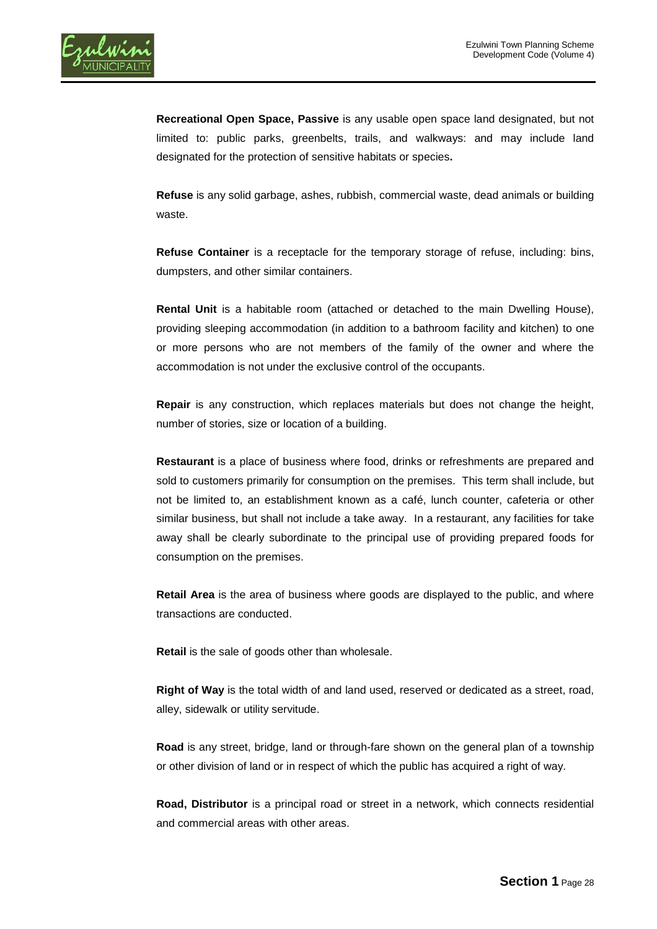

**Recreational Open Space, Passive** is any usable open space land designated, but not limited to: public parks, greenbelts, trails, and walkways: and may include land designated for the protection of sensitive habitats or species**.**

**Refuse** is any solid garbage, ashes, rubbish, commercial waste, dead animals or building waste.

**Refuse Container** is a receptacle for the temporary storage of refuse, including: bins, dumpsters, and other similar containers.

**Rental Unit** is a habitable room (attached or detached to the main Dwelling House), providing sleeping accommodation (in addition to a bathroom facility and kitchen) to one or more persons who are not members of the family of the owner and where the accommodation is not under the exclusive control of the occupants.

**Repair** is any construction, which replaces materials but does not change the height, number of stories, size or location of a building.

**Restaurant** is a place of business where food, drinks or refreshments are prepared and sold to customers primarily for consumption on the premises. This term shall include, but not be limited to, an establishment known as a café, lunch counter, cafeteria or other similar business, but shall not include a take away. In a restaurant, any facilities for take away shall be clearly subordinate to the principal use of providing prepared foods for consumption on the premises.

**Retail Area** is the area of business where goods are displayed to the public, and where transactions are conducted.

**Retail** is the sale of goods other than wholesale.

**Right of Way** is the total width of and land used, reserved or dedicated as a street, road, alley, sidewalk or utility servitude.

**Road** is any street, bridge, land or through-fare shown on the general plan of a township or other division of land or in respect of which the public has acquired a right of way.

**Road, Distributor** is a principal road or street in a network, which connects residential and commercial areas with other areas.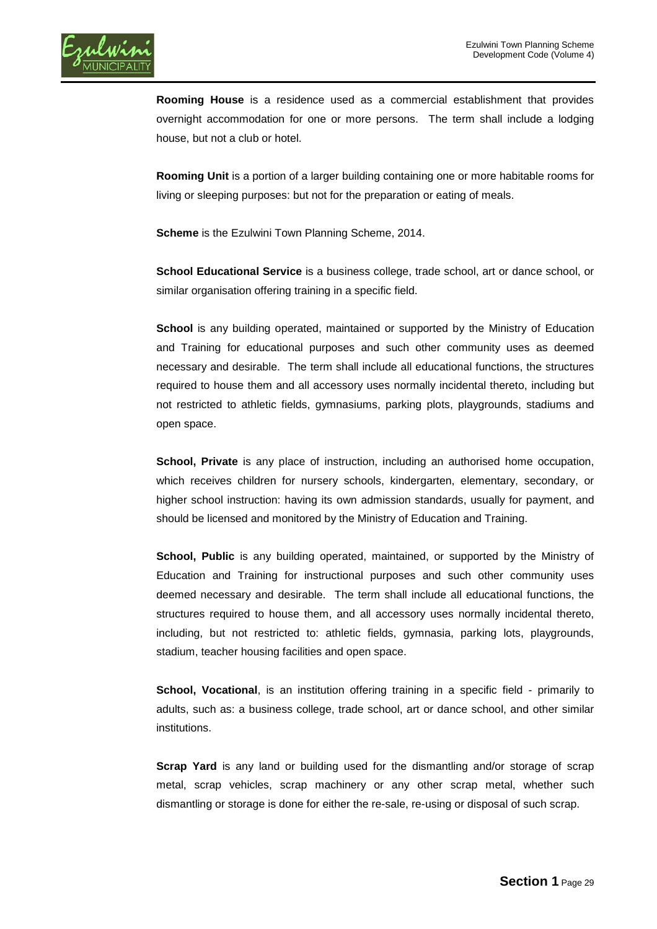

**Rooming House** is a residence used as a commercial establishment that provides overnight accommodation for one or more persons. The term shall include a lodging house, but not a club or hotel.

**Rooming Unit** is a portion of a larger building containing one or more habitable rooms for living or sleeping purposes: but not for the preparation or eating of meals.

**Scheme** is the Ezulwini Town Planning Scheme, 2014.

**School Educational Service** is a business college, trade school, art or dance school, or similar organisation offering training in a specific field.

**School** is any building operated, maintained or supported by the Ministry of Education and Training for educational purposes and such other community uses as deemed necessary and desirable. The term shall include all educational functions, the structures required to house them and all accessory uses normally incidental thereto, including but not restricted to athletic fields, gymnasiums, parking plots, playgrounds, stadiums and open space.

**School, Private** is any place of instruction, including an authorised home occupation, which receives children for nursery schools, kindergarten, elementary, secondary, or higher school instruction: having its own admission standards, usually for payment, and should be licensed and monitored by the Ministry of Education and Training.

**School, Public** is any building operated, maintained, or supported by the Ministry of Education and Training for instructional purposes and such other community uses deemed necessary and desirable. The term shall include all educational functions, the structures required to house them, and all accessory uses normally incidental thereto, including, but not restricted to: athletic fields, gymnasia, parking lots, playgrounds, stadium, teacher housing facilities and open space.

**School, Vocational**, is an institution offering training in a specific field - primarily to adults, such as: a business college, trade school, art or dance school, and other similar institutions.

**Scrap Yard** is any land or building used for the dismantling and/or storage of scrap metal, scrap vehicles, scrap machinery or any other scrap metal, whether such dismantling or storage is done for either the re-sale, re-using or disposal of such scrap.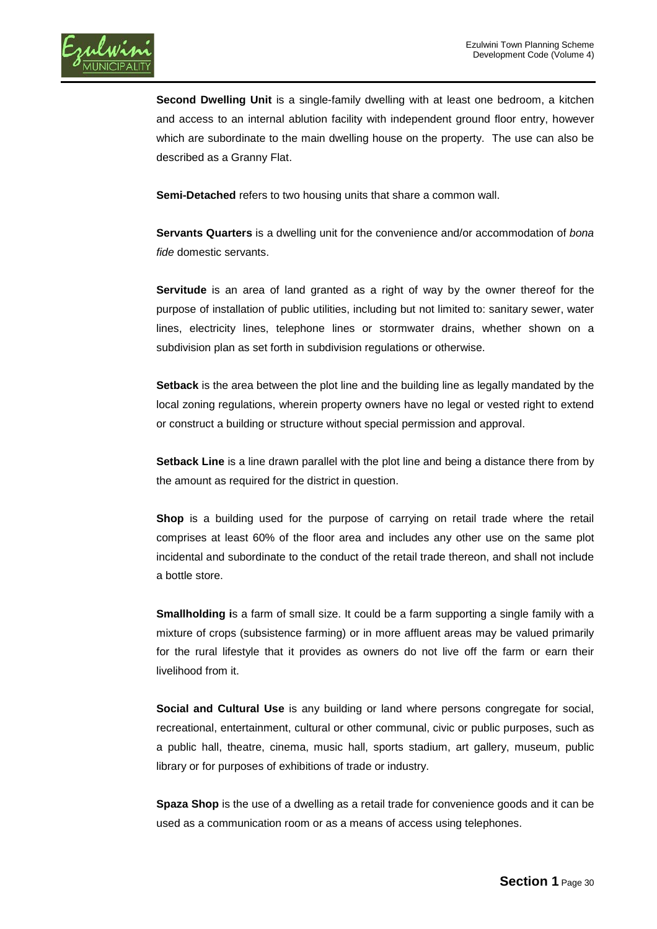

**Second Dwelling Unit** is a single-family dwelling with at least one bedroom, a kitchen and access to an internal ablution facility with independent ground floor entry, however which are subordinate to the main dwelling house on the property. The use can also be described as a Granny Flat.

**Semi-Detached** refers to two housing units that share a common wall.

**Servants Quarters** is a dwelling unit for the convenience and/or accommodation of *bona fide* domestic servants.

**Servitude** is an area of land granted as a right of way by the owner thereof for the purpose of installation of public utilities, including but not limited to: sanitary sewer, water lines, electricity lines, telephone lines or stormwater drains, whether shown on a subdivision plan as set forth in subdivision regulations or otherwise.

**Setback** is the area between the plot line and the building line as legally mandated by the local zoning regulations, wherein property owners have no legal or vested right to extend or construct a building or structure without special permission and approval.

**Setback Line** is a line drawn parallel with the plot line and being a distance there from by the amount as required for the district in question.

**Shop** is a building used for the purpose of carrying on retail trade where the retail comprises at least 60% of the floor area and includes any other use on the same plot incidental and subordinate to the conduct of the retail trade thereon, and shall not include a bottle store.

**Smallholding i**s a farm of small size. It could be a farm supporting a single family with a mixture of crops (subsistence farming) or in more affluent areas may be valued primarily for the rural lifestyle that it provides as owners do not live off the farm or earn their livelihood from it.

**Social and Cultural Use** is any building or land where persons congregate for social, recreational, entertainment, cultural or other communal, civic or public purposes, such as a public hall, theatre, cinema, music hall, sports stadium, art gallery, museum, public library or for purposes of exhibitions of trade or industry.

**Spaza Shop** is the use of a dwelling as a retail trade for convenience goods and it can be used as a communication room or as a means of access using telephones.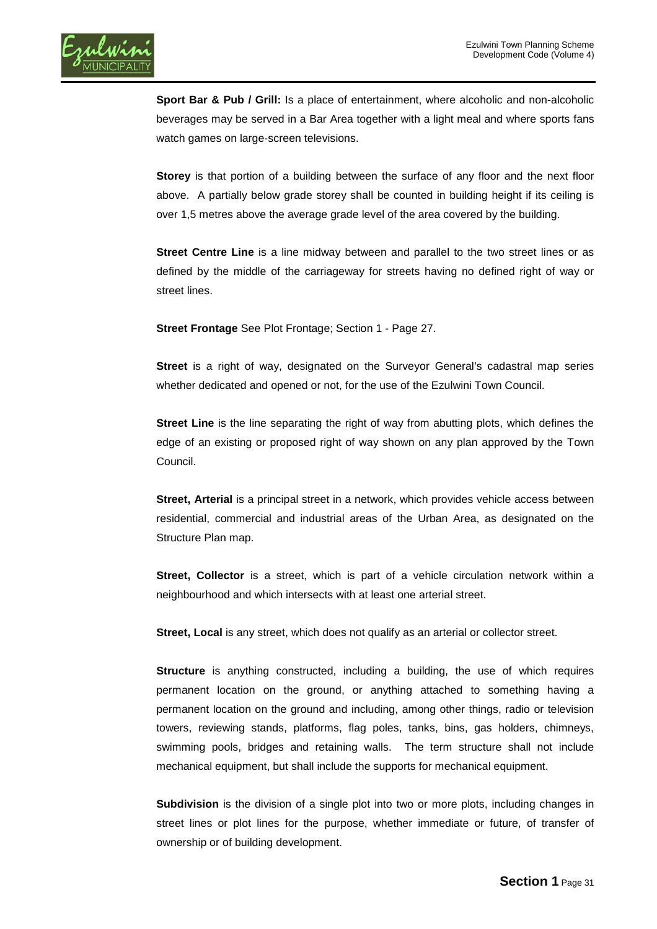

**Sport Bar & Pub / Grill:** Is a place of entertainment, where alcoholic and non-alcoholic beverages may be served in a Bar Area together with a light meal and where [sports](http://en.wikipedia.org/wiki/Professional_sports) fans watch games on large-screen televisions.

**Storey** is that portion of a building between the surface of any floor and the next floor above. A partially below grade storey shall be counted in building height if its ceiling is over 1,5 metres above the average grade level of the area covered by the building.

**Street Centre Line** is a line midway between and parallel to the two street lines or as defined by the middle of the carriageway for streets having no defined right of way or street lines.

**Street Frontage** See Plot Frontage; Section 1 - Page 27.

**Street** is a right of way, designated on the Surveyor General's cadastral map series whether dedicated and opened or not, for the use of the Ezulwini Town Council.

**Street Line** is the line separating the right of way from abutting plots, which defines the edge of an existing or proposed right of way shown on any plan approved by the Town Council.

**Street, Arterial** is a principal street in a network, which provides vehicle access between residential, commercial and industrial areas of the Urban Area, as designated on the Structure Plan map.

**Street, Collector** is a street, which is part of a vehicle circulation network within a neighbourhood and which intersects with at least one arterial street.

**Street, Local** is any street, which does not qualify as an arterial or collector street.

**Structure** is anything constructed, including a building, the use of which requires permanent location on the ground, or anything attached to something having a permanent location on the ground and including, among other things, radio or television towers, reviewing stands, platforms, flag poles, tanks, bins, gas holders, chimneys, swimming pools, bridges and retaining walls. The term structure shall not include mechanical equipment, but shall include the supports for mechanical equipment.

**Subdivision** is the division of a single plot into two or more plots, including changes in street lines or plot lines for the purpose, whether immediate or future, of transfer of ownership or of building development.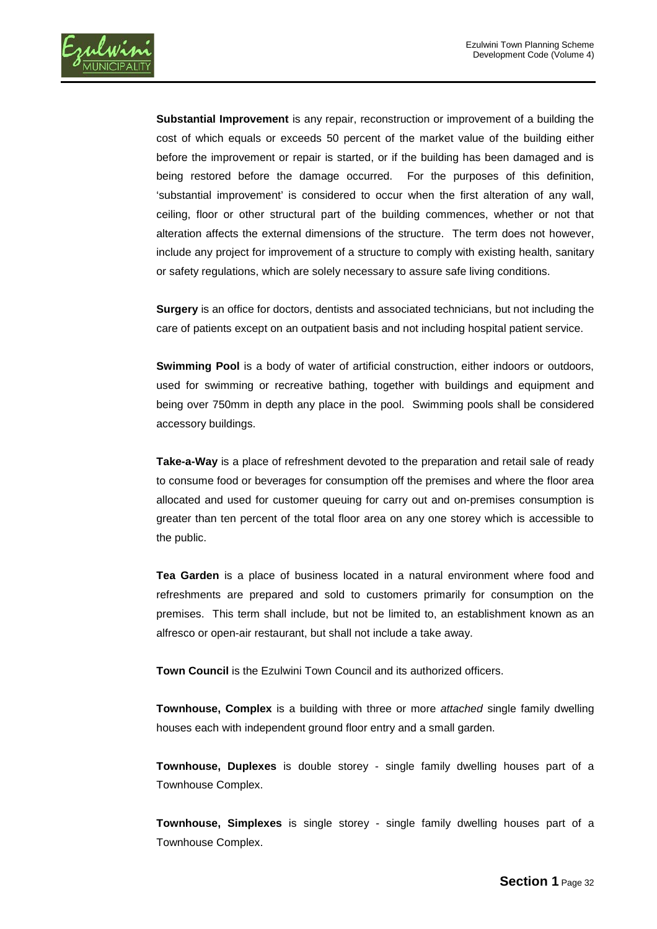

**Substantial Improvement** is any repair, reconstruction or improvement of a building the cost of which equals or exceeds 50 percent of the market value of the building either before the improvement or repair is started, or if the building has been damaged and is being restored before the damage occurred. For the purposes of this definition, 'substantial improvement' is considered to occur when the first alteration of any wall, ceiling, floor or other structural part of the building commences, whether or not that alteration affects the external dimensions of the structure. The term does not however, include any project for improvement of a structure to comply with existing health, sanitary or safety regulations, which are solely necessary to assure safe living conditions.

**Surgery** is an office for doctors, dentists and associated technicians, but not including the care of patients except on an outpatient basis and not including hospital patient service.

**Swimming Pool** is a body of water of artificial construction, either indoors or outdoors, used for swimming or recreative bathing, together with buildings and equipment and being over 750mm in depth any place in the pool. Swimming pools shall be considered accessory buildings.

**Take-a-Way** is a place of refreshment devoted to the preparation and retail sale of ready to consume food or beverages for consumption off the premises and where the floor area allocated and used for customer queuing for carry out and on-premises consumption is greater than ten percent of the total floor area on any one storey which is accessible to the public.

**Tea Garden** is a place of business located in a natural environment where food and refreshments are prepared and sold to customers primarily for consumption on the premises. This term shall include, but not be limited to, an establishment known as an alfresco or open-air restaurant, but shall not include a take away.

**Town Council** is the Ezulwini Town Council and its authorized officers.

**Townhouse, Complex** is a building with three or more *attached* single family dwelling houses each with independent ground floor entry and a small garden.

**Townhouse, Duplexes** is double storey - single family dwelling houses part of a Townhouse Complex.

**Townhouse, Simplexes** is single storey - single family dwelling houses part of a Townhouse Complex.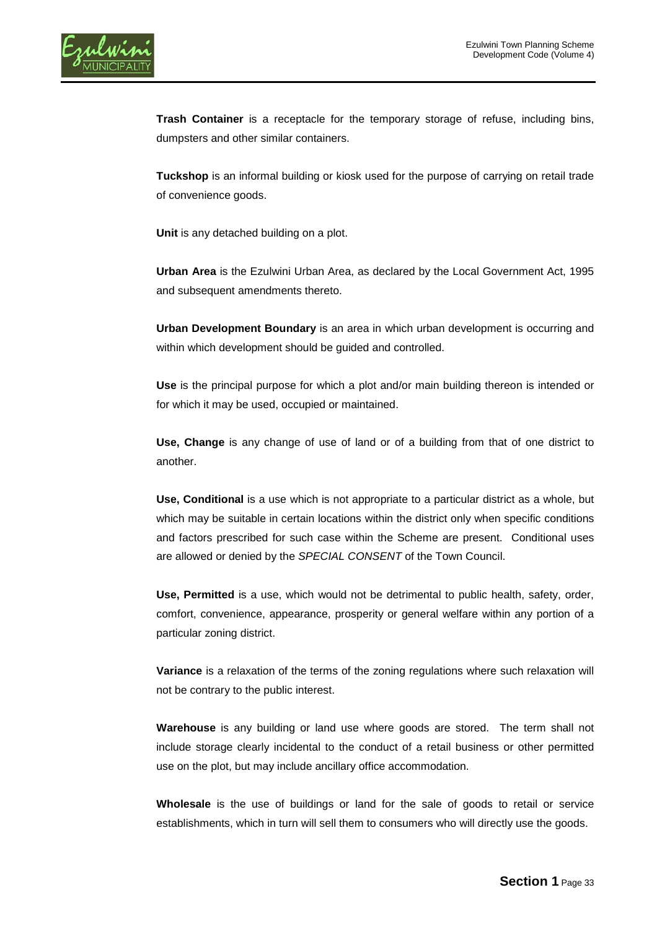

**Trash Container** is a receptacle for the temporary storage of refuse, including bins, dumpsters and other similar containers.

**Tuckshop** is an informal building or kiosk used for the purpose of carrying on retail trade of convenience goods.

**Unit** is any detached building on a plot.

**Urban Area** is the Ezulwini Urban Area, as declared by the Local Government Act, 1995 and subsequent amendments thereto.

**Urban Development Boundary** is an area in which urban development is occurring and within which development should be guided and controlled.

**Use** is the principal purpose for which a plot and/or main building thereon is intended or for which it may be used, occupied or maintained.

**Use, Change** is any change of use of land or of a building from that of one district to another.

**Use, Conditional** is a use which is not appropriate to a particular district as a whole, but which may be suitable in certain locations within the district only when specific conditions and factors prescribed for such case within the Scheme are present. Conditional uses are allowed or denied by the *SPECIAL CONSENT* of the Town Council.

**Use, Permitted** is a use, which would not be detrimental to public health, safety, order, comfort, convenience, appearance, prosperity or general welfare within any portion of a particular zoning district.

**Variance** is a relaxation of the terms of the zoning regulations where such relaxation will not be contrary to the public interest.

**Warehouse** is any building or land use where goods are stored. The term shall not include storage clearly incidental to the conduct of a retail business or other permitted use on the plot, but may include ancillary office accommodation.

**Wholesale** is the use of buildings or land for the sale of goods to retail or service establishments, which in turn will sell them to consumers who will directly use the goods.